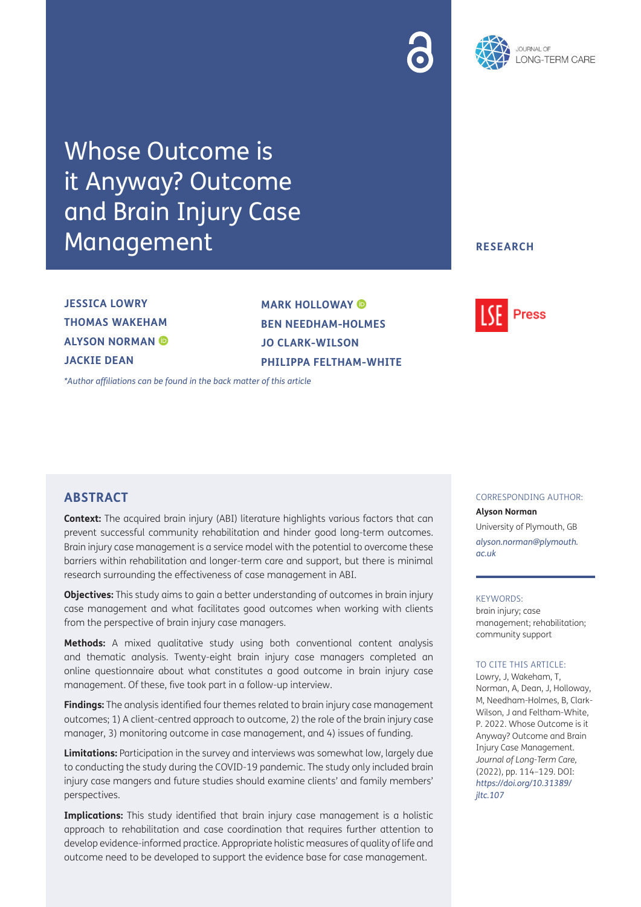



Whose Outcome is it Anyway? Outcome and Brain Injury Case Management

**JESSICA LOWRY THOMAS WAKEHAM ALYSON NORMAN JACKIE DEAN**

**MARK HOLLOWAY BEN NEEDHAM-HOLMES JO CLARK-WILSON PHILIPPA FELTHAM-WHITE**

*[\\*Author affiliations can be found in the back matter of this article](#page-12-0)*

### **RESEARCH**



## **ABSTRACT**

**Context:** The acquired brain injury (ABI) literature highlights various factors that can prevent successful community rehabilitation and hinder good long-term outcomes. Brain injury case management is a service model with the potential to overcome these barriers within rehabilitation and longer-term care and support, but there is minimal research surrounding the effectiveness of case management in ABI.

**Objectives:** This study aims to gain a better understanding of outcomes in brain injury case management and what facilitates good outcomes when working with clients from the perspective of brain injury case managers.

**Methods:** A mixed qualitative study using both conventional content analysis and thematic analysis. Twenty-eight brain injury case managers completed an online questionnaire about what constitutes a good outcome in brain injury case management. Of these, five took part in a follow-up interview.

**Findings:** The analysis identified four themes related to brain injury case management outcomes; 1) A client-centred approach to outcome, 2) the role of the brain injury case manager, 3) monitoring outcome in case management, and 4) issues of funding.

**Limitations:** Participation in the survey and interviews was somewhat low, largely due to conducting the study during the COVID-19 pandemic. The study only included brain injury case mangers and future studies should examine clients' and family members' perspectives.

**Implications:** This study identified that brain injury case management is a holistic approach to rehabilitation and case coordination that requires further attention to develop evidence-informed practice. Appropriate holistic measures of quality of life and outcome need to be developed to support the evidence base for case management.

#### CORRESPONDING AUTHOR:

#### **Alyson Norman**

University of Plymouth, GB *[alyson.norman@plymouth.](mailto:alyson.norman@plymouth.ac.uk) [ac.uk](mailto:alyson.norman@plymouth.ac.uk)*

#### KEYWORDS:

brain injury; case management; rehabilitation; community support

#### TO CITE THIS ARTICLE:

Lowry, J, Wakeham, T, Norman, A, Dean, J, Holloway, M, Needham-Holmes, B, Clark-Wilson, J and Feltham-White, P. 2022. Whose Outcome is it Anyway? Outcome and Brain Injury Case Management. *Journal of Long-Term Care,* (2022), pp. 114–129. DOI: *[https://doi.org/10.31389/](https://doi.org/10.31389/jltc.107) [jltc.107](https://doi.org/10.31389/jltc.107)*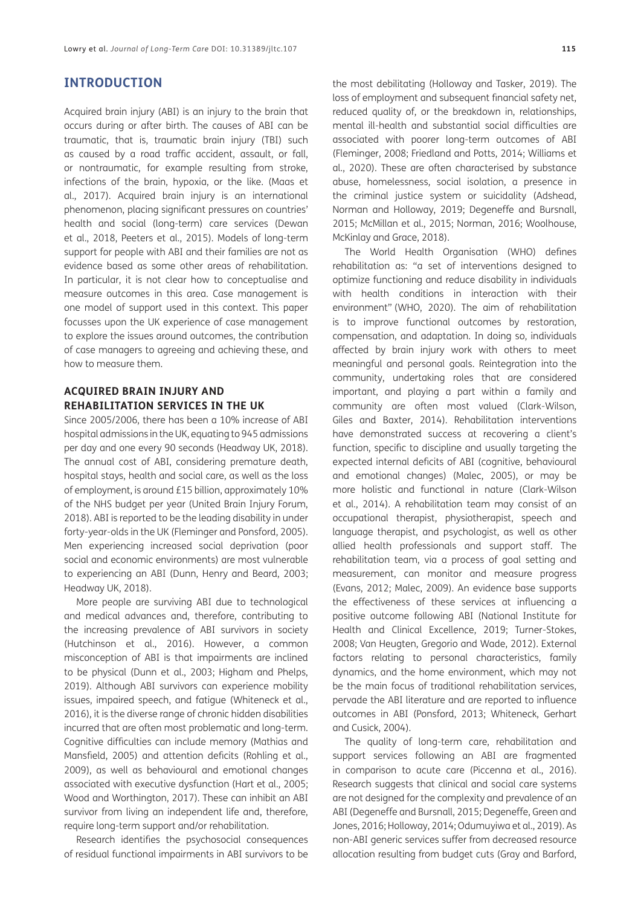## **INTRODUCTION**

Acquired brain injury (ABI) is an injury to the brain that occurs during or after birth. The causes of ABI can be traumatic, that is, traumatic brain injury (TBI) such as caused by a road traffic accident, assault, or fall, or nontraumatic, for example resulting from stroke, infections of the brain, hypoxia, or the like. (Maas et al., 2017). Acquired brain injury is an international phenomenon, placing significant pressures on countries' health and social (long-term) care services [\(Dewan](#page-12-1) [et al., 2018](#page-12-1), [Peeters et al., 2015](#page-14-0)). Models of long-term support for people with ABI and their families are not as evidence based as some other areas of rehabilitation. In particular, it is not clear how to conceptualise and measure outcomes in this area. Case management is one model of support used in this context. This paper focusses upon the UK experience of case management to explore the issues around outcomes, the contribution of case managers to agreeing and achieving these, and how to measure them.

## **ACQUIRED BRAIN INJURY AND REHABILITATION SERVICES IN THE UK**

Since 2005/2006, there has been a 10% increase of ABI hospital admissions in the UK, equating to 945 admissions per day and one every 90 seconds [\(Headway UK, 2018](#page-13-0)). The annual cost of ABI, considering premature death, hospital stays, health and social care, as well as the loss of employment, is around £15 billion, approximately 10% of the NHS budget per year [\(United Brain Injury Forum,](#page-14-1) [2018](#page-14-1)). ABI is reported to be the leading disability in under forty-year-olds in the UK ([Fleminger and Ponsford, 2005](#page-12-2)). Men experiencing increased social deprivation (poor social and economic environments) are most vulnerable to experiencing an ABI (Dunn, Henry and Beard, 2003; [Headway UK, 2018\)](#page-13-0).

More people are surviving ABI due to technological and medical advances and, therefore, contributing to the increasing prevalence of ABI survivors in society [\(Hutchinson et al., 2016](#page-13-1)). However, a common misconception of ABI is that impairments are inclined to be physical [\(Dunn et al., 2003](#page-12-3); [Higham and Phelps,](#page-13-2) [2019](#page-13-2)). Although ABI survivors can experience mobility issues, impaired speech, and fatigue ([Whiteneck et al.,](#page-14-2) [2016](#page-14-2)), it is the diverse range of chronic hidden disabilities incurred that are often most problematic and long-term. Cognitive difficulties can include memory ([Mathias and](#page-13-3) [Mansfield, 2005](#page-13-3)) and attention deficits ([Rohling et al.,](#page-14-3) [2009](#page-14-3)), as well as behavioural and emotional changes associated with executive dysfunction ([Hart et al., 2005](#page-13-4); [Wood and Worthington, 2017](#page-15-0)). These can inhibit an ABI survivor from living an independent life and, therefore, require long-term support and/or rehabilitation.

Research identifies the psychosocial consequences of residual functional impairments in ABI survivors to be

the most debilitating [\(Holloway and Tasker, 2019](#page-13-2)). The loss of employment and subsequent financial safety net, reduced quality of, or the breakdown in, relationships, mental ill-health and substantial social difficulties are associated with poorer long-term outcomes of ABI ([Fleminger, 2008](#page-12-4); [Friedland and Potts, 2014;](#page-13-5) [Williams et](#page-15-1)  [al., 2020](#page-15-1)). These are often characterised by substance abuse, homelessness, social isolation, a presence in the criminal justice system or suicidality [\(Adshead,](#page-12-5)  [Norman and Holloway, 2019;](#page-12-5) [Degeneffe and Bursnall,](#page-12-6)  [2015;](#page-12-6) [McMillan et al., 2015](#page-13-6); [Norman, 2016](#page-14-4); [Woolhouse,](#page-15-2)  [McKinlay and Grace, 2018\)](#page-15-2).

The World Health Organisation (WHO) defines rehabilitation as: "a set of interventions designed to optimize functioning and reduce disability in individuals with health conditions in interaction with their environment" [\(WHO, 2020](#page-15-3)). The aim of rehabilitation is to improve functional outcomes by restoration, compensation, and adaptation. In doing so, individuals affected by brain injury work with others to meet meaningful and personal goals. Reintegration into the community, undertaking roles that are considered important, and playing a part within a family and community are often most valued [\(Clark-Wilson,](#page-12-7)  [Giles and Baxter, 2014\)](#page-12-7). Rehabilitation interventions have demonstrated success at recovering a client's function, specific to discipline and usually targeting the expected internal deficits of ABI (cognitive, behavioural and emotional changes) ([Malec, 2005](#page-13-7)), or may be more holistic and functional in nature (Clark-Wilson et al., 2014). A rehabilitation team may consist of an occupational therapist, physiotherapist, speech and language therapist, and psychologist, as well as other allied health professionals and support staff. The rehabilitation team, via a process of goal setting and measurement, can monitor and measure progress ([Evans, 2012](#page-12-8); [Malec, 2009\)](#page-13-8). An evidence base supports the effectiveness of these services at influencing a positive outcome following ABI [\(National Institute for](#page-14-5)  [Health and Clinical Excellence, 2019;](#page-14-5) [Turner-Stokes,](#page-14-6)  [2008;](#page-14-6) [Van Heugten, Gregorio and Wade, 2012](#page-14-7)). External factors relating to personal characteristics, family dynamics, and the home environment, which may not be the main focus of traditional rehabilitation services, pervade the ABI literature and are reported to influence outcomes in ABI ([Ponsford, 2013](#page-14-8); [Whiteneck, Gerhart](#page-14-2)  [and Cusick, 2004\)](#page-14-2).

The quality of long-term care, rehabilitation and support services following an ABI are fragmented in comparison to acute care ([Piccenna et al., 2016\)](#page-14-9). Research suggests that clinical and social care systems are not designed for the complexity and prevalence of an ABI ([Degeneffe and Bursnall, 2015](#page-12-6); Degeneffe, Green and Jones, 2016; Holloway, 2014; Odumuyiwa et al., 2019). As non-ABI generic services suffer from decreased resource allocation resulting from budget cuts ([Gray and Barford,](#page-13-9)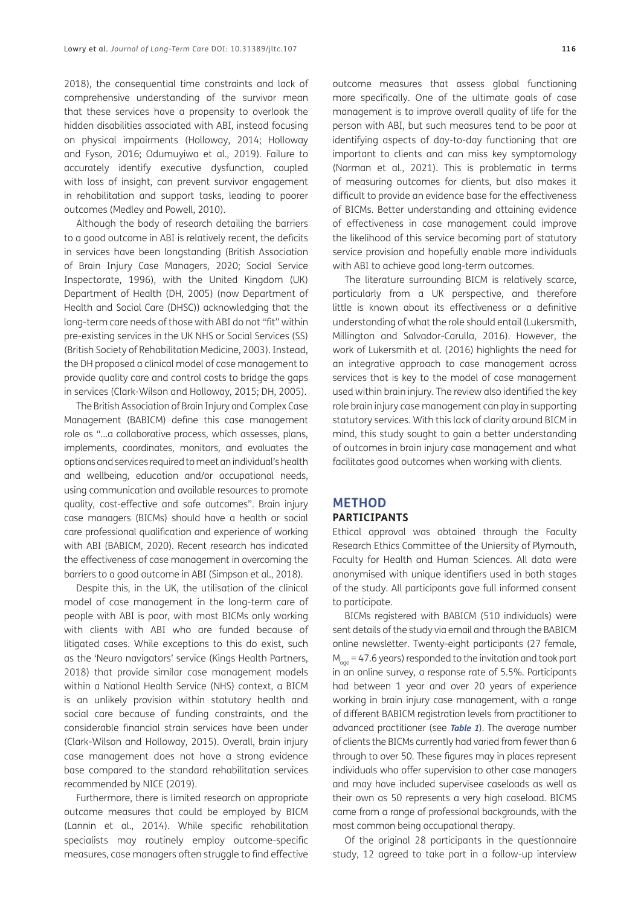[2018](#page-13-9)), the consequential time constraints and lack of comprehensive understanding of the survivor mean that these services have a propensity to overlook the hidden disabilities associated with ABI, instead focusing on physical impairments (Holloway, 2014; [Holloway](#page-13-10) [and Fyson, 2016](#page-13-10); [Odumuyiwa et al., 2019\)](#page-14-10). Failure to accurately identify executive dysfunction, coupled with loss of insight, can prevent survivor engagement in rehabilitation and support tasks, leading to poorer outcomes ([Medley and Powell, 2010](#page-13-11)).

Although the body of research detailing the barriers to a good outcome in ABI is relatively recent, the deficits in services have been longstanding [\(British Association](#page-12-9) [of Brain Injury Case Managers, 2020](#page-12-9); [Social Service](#page-14-11) [Inspectorate, 1996\)](#page-14-11), with the United Kingdom (UK) Department of Health ([DH, 2005](#page-12-10)) (now Department of Health and Social Care (DHSC)) acknowledging that the long-term care needs of those with ABI do not "fit" within pre-existing services in the UK NHS or Social Services (SS) [\(British Society of Rehabilitation Medicine, 2003](#page-12-11)). Instead, the DH proposed a clinical model of case management to provide quality care and control costs to bridge the gaps in services (Clark-Wilson and Holloway, 2015; DH, 2005).

The British Association of Brain Injury and Complex Case Management (BABICM) define this case management role as "…a collaborative process, which assesses, plans, implements, coordinates, monitors, and evaluates the options and services required to meet an individual's health and wellbeing, education and/or occupational needs, using communication and available resources to promote quality, cost-effective and safe outcomes". Brain injury case managers (BICMs) should have a health or social care professional qualification and experience of working with ABI (BABICM, 2020)*.* Recent research has indicated the effectiveness of case management in overcoming the barriers to a good outcome in ABI ([Simpson et al., 2018](#page-14-12)).

Despite this, in the UK, the utilisation of the clinical model of case management in the long-term care of people with ABI is poor, with most BICMs only working with clients with ABI who are funded because of litigated cases. While exceptions to this do exist, such as the 'Neuro navigators' service [\(Kings Health Partners,](#page-13-12) [2018](#page-13-12)) that provide similar case management models within a National Health Service (NHS) context, a BICM is an unlikely provision within statutory health and social care because of funding constraints, and the considerable financial strain services have been under (Clark-Wilson and Holloway, 2015). Overall, brain injury case management does not have a strong evidence base compared to the standard rehabilitation services recommended by NICE (2019).

Furthermore, there is limited research on appropriate outcome measures that could be employed by BICM [\(Lannin et al., 2014\)](#page-13-13). While specific rehabilitation specialists may routinely employ outcome-specific measures, case managers often struggle to find effective

outcome measures that assess global functioning more specifically. One of the ultimate goals of case management is to improve overall quality of life for the person with ABI, but such measures tend to be poor at identifying aspects of day-to-day functioning that are important to clients and can miss key symptomology ([Norman et al., 2021\)](#page-14-13). This is problematic in terms of measuring outcomes for clients, but also makes it difficult to provide an evidence base for the effectiveness of BICMs. Better understanding and attaining evidence of effectiveness in case management could improve the likelihood of this service becoming part of statutory service provision and hopefully enable more individuals with ABI to achieve good long-term outcomes.

The literature surrounding BICM is relatively scarce, particularly from a UK perspective, and therefore little is known about its effectiveness or a definitive understanding of what the role should entail [\(Lukersmith,](#page-13-14)  [Millington and Salvador-Carulla, 2016](#page-13-14)). However, the work of [Lukersmith et al. \(2016\) h](#page-13-14)ighlights the need for an integrative approach to case management across services that is key to the model of case management used within brain injury. The review also identified the key role brain injury case management can play in supporting statutory services. With this lack of clarity around BICM in mind, this study sought to gain a better understanding of outcomes in brain injury case management and what facilitates good outcomes when working with clients.

# **METHOD**

## **PARTICIPANTS**

Ethical approval was obtained through the Faculty Research Ethics Committee of the Uniersity of Plymouth, Faculty for Health and Human Sciences. All data were anonymised with unique identifiers used in both stages of the study. All participants gave full informed consent to participate.

BICMs registered with BABICM (510 individuals) were sent details of the study via email and through the BABICM online newsletter. Twenty-eight participants (27 female,  $M_{\text{gas}}$  = 47.6 years) responded to the invitation and took part in an online survey, a response rate of 5.5%. Participants had between 1 year and over 20 years of experience working in brain injury case management, with a range of different BABICM registration levels from practitioner to advanced practitioner (see **[Table 1](#page-3-0)**). The average number of clients the BICMs currently had varied from fewer than 6 through to over 50. These figures may in places represent individuals who offer supervision to other case managers and may have included supervisee caseloads as well as their own as 50 represents a very high caseload. BICMS came from a range of professional backgrounds, with the most common being occupational therapy.

Of the original 28 participants in the questionnaire study, 12 agreed to take part in a follow-up interview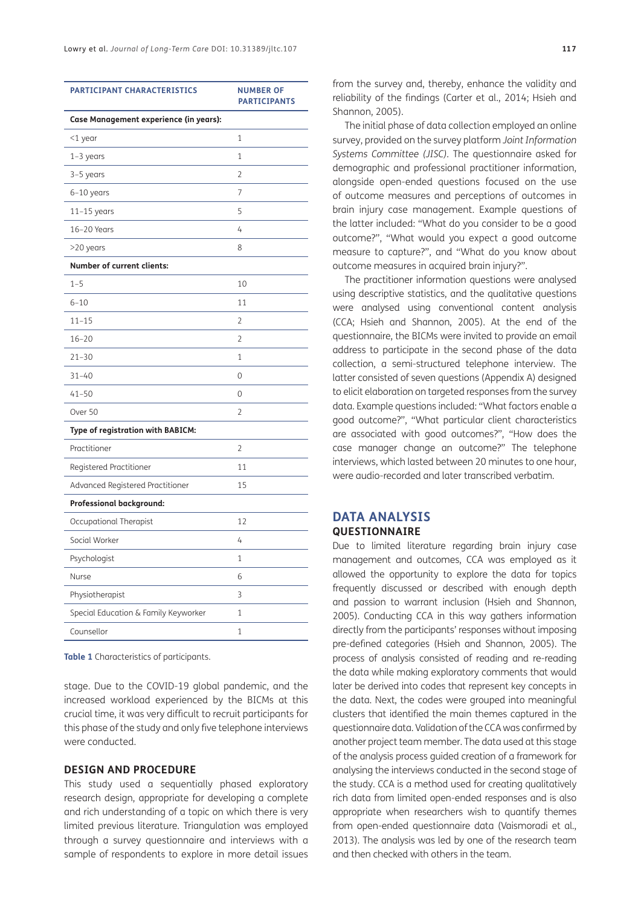| Case Management experience (in years):<br>1<br>$<$ 1 year<br>$1-3$ years<br>1<br>2<br>3-5 years<br>7<br>$6-10$ years<br>5<br>$11-15$ years<br>16-20 Years<br>4<br>>20 years<br>8<br><b>Number of current clients:</b><br>$1 - 5$<br>10<br>$6 - 10$<br>11<br>$11 - 15$<br>2<br>$16 - 20$<br>2<br>$21 - 30$<br>1<br>$31 - 40$<br>0<br>$41 - 50$<br>0<br>Over 50<br>2<br>Type of registration with BABICM:<br>Practitioner<br>2<br>Registered Practitioner<br>11<br>Advanced Registered Practitioner<br>15<br>Professional background:<br>12<br>Occupational Therapist<br>Social Worker<br>4<br>Psychologist<br>1<br>Nurse<br>6<br>3<br>Physiotherapist<br>Special Education & Family Keyworker<br>1<br>Counsellor<br>1 | <b>PARTICIPANT CHARACTERISTICS</b> | <b>NUMBER OF</b><br><b>PARTICIPANTS</b> |  |  |
|----------------------------------------------------------------------------------------------------------------------------------------------------------------------------------------------------------------------------------------------------------------------------------------------------------------------------------------------------------------------------------------------------------------------------------------------------------------------------------------------------------------------------------------------------------------------------------------------------------------------------------------------------------------------------------------------------------------------|------------------------------------|-----------------------------------------|--|--|
|                                                                                                                                                                                                                                                                                                                                                                                                                                                                                                                                                                                                                                                                                                                      |                                    |                                         |  |  |
|                                                                                                                                                                                                                                                                                                                                                                                                                                                                                                                                                                                                                                                                                                                      |                                    |                                         |  |  |
|                                                                                                                                                                                                                                                                                                                                                                                                                                                                                                                                                                                                                                                                                                                      |                                    |                                         |  |  |
|                                                                                                                                                                                                                                                                                                                                                                                                                                                                                                                                                                                                                                                                                                                      |                                    |                                         |  |  |
|                                                                                                                                                                                                                                                                                                                                                                                                                                                                                                                                                                                                                                                                                                                      |                                    |                                         |  |  |
|                                                                                                                                                                                                                                                                                                                                                                                                                                                                                                                                                                                                                                                                                                                      |                                    |                                         |  |  |
|                                                                                                                                                                                                                                                                                                                                                                                                                                                                                                                                                                                                                                                                                                                      |                                    |                                         |  |  |
|                                                                                                                                                                                                                                                                                                                                                                                                                                                                                                                                                                                                                                                                                                                      |                                    |                                         |  |  |
|                                                                                                                                                                                                                                                                                                                                                                                                                                                                                                                                                                                                                                                                                                                      |                                    |                                         |  |  |
|                                                                                                                                                                                                                                                                                                                                                                                                                                                                                                                                                                                                                                                                                                                      |                                    |                                         |  |  |
|                                                                                                                                                                                                                                                                                                                                                                                                                                                                                                                                                                                                                                                                                                                      |                                    |                                         |  |  |
|                                                                                                                                                                                                                                                                                                                                                                                                                                                                                                                                                                                                                                                                                                                      |                                    |                                         |  |  |
|                                                                                                                                                                                                                                                                                                                                                                                                                                                                                                                                                                                                                                                                                                                      |                                    |                                         |  |  |
|                                                                                                                                                                                                                                                                                                                                                                                                                                                                                                                                                                                                                                                                                                                      |                                    |                                         |  |  |
|                                                                                                                                                                                                                                                                                                                                                                                                                                                                                                                                                                                                                                                                                                                      |                                    |                                         |  |  |
|                                                                                                                                                                                                                                                                                                                                                                                                                                                                                                                                                                                                                                                                                                                      |                                    |                                         |  |  |
|                                                                                                                                                                                                                                                                                                                                                                                                                                                                                                                                                                                                                                                                                                                      |                                    |                                         |  |  |
|                                                                                                                                                                                                                                                                                                                                                                                                                                                                                                                                                                                                                                                                                                                      |                                    |                                         |  |  |
|                                                                                                                                                                                                                                                                                                                                                                                                                                                                                                                                                                                                                                                                                                                      |                                    |                                         |  |  |
|                                                                                                                                                                                                                                                                                                                                                                                                                                                                                                                                                                                                                                                                                                                      |                                    |                                         |  |  |
|                                                                                                                                                                                                                                                                                                                                                                                                                                                                                                                                                                                                                                                                                                                      |                                    |                                         |  |  |
|                                                                                                                                                                                                                                                                                                                                                                                                                                                                                                                                                                                                                                                                                                                      |                                    |                                         |  |  |
|                                                                                                                                                                                                                                                                                                                                                                                                                                                                                                                                                                                                                                                                                                                      |                                    |                                         |  |  |
|                                                                                                                                                                                                                                                                                                                                                                                                                                                                                                                                                                                                                                                                                                                      |                                    |                                         |  |  |
|                                                                                                                                                                                                                                                                                                                                                                                                                                                                                                                                                                                                                                                                                                                      |                                    |                                         |  |  |
|                                                                                                                                                                                                                                                                                                                                                                                                                                                                                                                                                                                                                                                                                                                      |                                    |                                         |  |  |
|                                                                                                                                                                                                                                                                                                                                                                                                                                                                                                                                                                                                                                                                                                                      |                                    |                                         |  |  |
|                                                                                                                                                                                                                                                                                                                                                                                                                                                                                                                                                                                                                                                                                                                      |                                    |                                         |  |  |
|                                                                                                                                                                                                                                                                                                                                                                                                                                                                                                                                                                                                                                                                                                                      |                                    |                                         |  |  |

<span id="page-3-0"></span>**Table 1** Characteristics of participants.

stage. Due to the COVID-19 global pandemic, and the increased workload experienced by the BICMs at this crucial time, it was very difficult to recruit participants for this phase of the study and only five telephone interviews were conducted.

#### **DESIGN AND PROCEDURE**

This study used a sequentially phased exploratory research design, appropriate for developing a complete and rich understanding of a topic on which there is very limited previous literature. Triangulation was employed through a survey questionnaire and interviews with a sample of respondents to explore in more detail issues

from the survey and, thereby, enhance the validity and reliability of the findings ([Carter et al., 2014](#page-12-12); [Hsieh and](#page-13-15)  [Shannon, 2005\)](#page-13-15).

The initial phase of data collection employed an online survey, provided on the survey platform *Joint Information Systems Committee (JISC).* The questionnaire asked for demographic and professional practitioner information, alongside open-ended questions focused on the use of outcome measures and perceptions of outcomes in brain injury case management. Example questions of the latter included: "What do you consider to be a good outcome?", "What would you expect a good outcome measure to capture?", and "What do you know about outcome measures in acquired brain injury?".

The practitioner information questions were analysed using descriptive statistics, and the qualitative questions were analysed using conventional content analysis (CCA; [Hsieh and Shannon, 2005\)](#page-13-15). At the end of the questionnaire, the BICMs were invited to provide an email address to participate in the second phase of the data collection, a semi-structured telephone interview. The latter consisted of seven questions (Appendix A) designed to elicit elaboration on targeted responses from the survey data. Example questions included: "What factors enable a good outcome?", "What particular client characteristics are associated with good outcomes?", "How does the case manager change an outcome?" The telephone interviews, which lasted between 20 minutes to one hour, were audio-recorded and later transcribed verbatim.

#### **DATA ANALYSIS QUESTIONNAIRE**

Due to limited literature regarding brain injury case management and outcomes, CCA was employed as it allowed the opportunity to explore the data for topics frequently discussed or described with enough depth and passion to warrant inclusion [\(Hsieh and Shannon,](#page-13-15)  [2005](#page-13-15)). Conducting CCA in this way gathers information directly from the participants' responses without imposing pre-defined categories [\(Hsieh and Shannon, 2005](#page-13-15)). The process of analysis consisted of reading and re-reading the data while making exploratory comments that would later be derived into codes that represent key concepts in the data. Next, the codes were grouped into meaningful clusters that identified the main themes captured in the questionnaire data. Validation of the CCA was confirmed by another project team member. The data used at this stage of the analysis process guided creation of a framework for analysing the interviews conducted in the second stage of the study. CCA is a method used for creating qualitatively rich data from limited open-ended responses and is also appropriate when researchers wish to quantify themes from open-ended questionnaire data [\(Vaismoradi et al.,](#page-14-14)  [2013](#page-14-14)). The analysis was led by one of the research team and then checked with others in the team.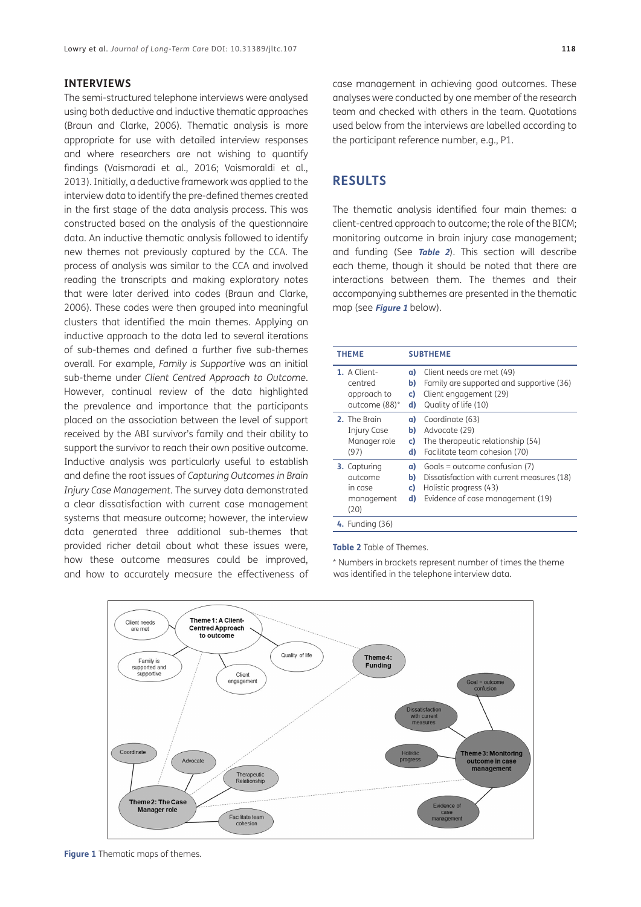#### **INTERVIEWS**

The semi-structured telephone interviews were analysed using both deductive and inductive thematic approaches [\(Braun and Clarke, 2006\)](#page-12-13). Thematic analysis is more appropriate for use with detailed interview responses and where researchers are not wishing to quantify findings ([Vaismoradi et al., 2016](#page-14-15); [Vaismoraldi et al.,](#page-14-14) [2013](#page-14-14)). Initially, a deductive framework was applied to the interview data to identify the pre-defined themes created in the first stage of the data analysis process. This was constructed based on the analysis of the questionnaire data. An inductive thematic analysis followed to identify new themes not previously captured by the CCA. The process of analysis was similar to the CCA and involved reading the transcripts and making exploratory notes that were later derived into codes ([Braun and Clarke,](#page-12-13) [2006](#page-12-13)). These codes were then grouped into meaningful clusters that identified the main themes. Applying an inductive approach to the data led to several iterations of sub-themes and defined a further five sub-themes overall. For example, *Family is Supportive* was an initial sub-theme under *Client Centred Approach to Outcome*. However, continual review of the data highlighted the prevalence and importance that the participants placed on the association between the level of support received by the ABI survivor's family and their ability to support the survivor to reach their own positive outcome. Inductive analysis was particularly useful to establish and define the root issues of *Capturing Outcomes in Brain Injury Case Management.* The survey data demonstrated a clear dissatisfaction with current case management systems that measure outcome; however, the interview data generated three additional sub-themes that provided richer detail about what these issues were, how these outcome measures could be improved, and how to accurately measure the effectiveness of case management in achieving good outcomes. These analyses were conducted by one member of the research team and checked with others in the team. Quotations used below from the interviews are labelled according to the participant reference number, e.g., P1.

### **RESULTS**

The thematic analysis identified four main themes: a client-centred approach to outcome; the role of the BICM; monitoring outcome in brain injury case management; and funding (See **[Table 2](#page-4-0)**). This section will describe each theme, though it should be noted that there are interactions between them. The themes and their accompanying subthemes are presented in the thematic map (see **[Figure 1](#page-4-1)** below).

| <b>THEME</b>                                               | <b>SUBTHEME</b>      |                                                                                                                                             |
|------------------------------------------------------------|----------------------|---------------------------------------------------------------------------------------------------------------------------------------------|
| 1. A Client-<br>centred<br>approach to<br>outcome (88)*    | a)<br>b)<br>C)<br>d) | Client needs are met (49)<br>Family are supported and supportive (36)<br>Client engagement (29)<br>Quality of life (10)                     |
| 2. The Brain<br><b>Injury Case</b><br>Manager role<br>(97) | a)<br>b)<br>c)<br>d) | Coordinate (63)<br>Advocate (29)<br>The therapeutic relationship (54)<br>Facilitate team cohesion (70)                                      |
| 3. Capturing<br>outcome<br>in case<br>management<br>(20)   | a)<br>b)<br>C)<br>d) | Goals = outcome confusion $(7)$<br>Dissatisfaction with current measures (18)<br>Holistic progress (43)<br>Evidence of case management (19) |
| 4. Funding (36)                                            |                      |                                                                                                                                             |

#### <span id="page-4-0"></span>**Table 2** Table of Themes.

\* Numbers in brackets represent number of times the theme was identified in the telephone interview data.



<span id="page-4-1"></span>**Figure 1** Thematic maps of themes.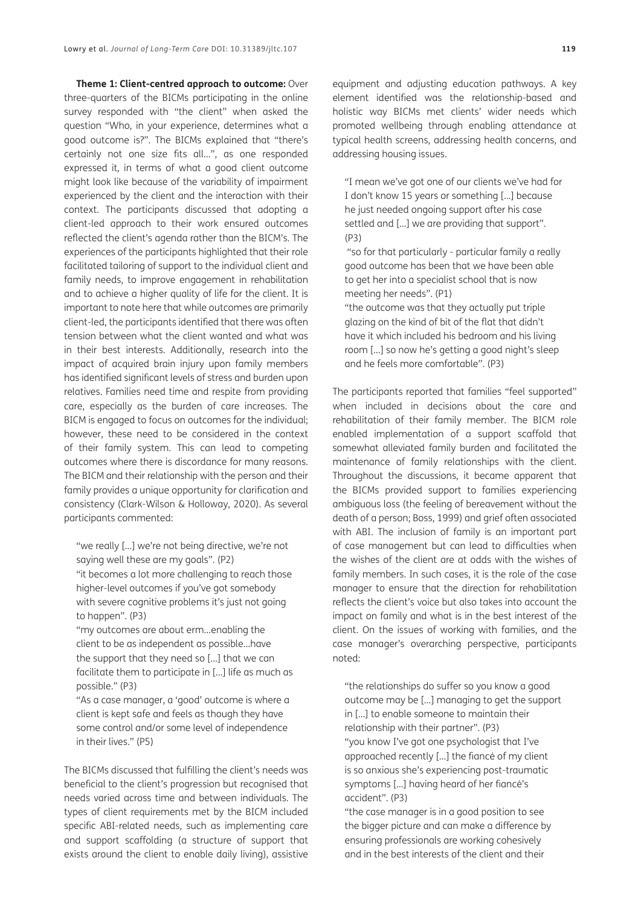**Theme 1: Client-centred approach to outcome:** Over three-quarters of the BICMs participating in the online survey responded with "the client" when asked the question "Who, in your experience, determines what a good outcome is?". The BICMs explained that "there's certainly not one size fits all…", as one responded expressed it*,* in terms of what a good client outcome might look like because of the variability of impairment experienced by the client and the interaction with their context. The participants discussed that adopting a client-led approach to their work ensured outcomes reflected the client's agenda rather than the BICM's. The experiences of the participants highlighted that their role facilitated tailoring of support to the individual client and family needs, to improve engagement in rehabilitation and to achieve a higher quality of life for the client. It is important to note here that while outcomes are primarily client-led, the participants identified that there was often tension between what the client wanted and what was in their best interests. Additionally, research into the impact of acquired brain injury upon family members has identified significant levels of stress and burden upon relatives. Families need time and respite from providing care, especially as the burden of care increases. The BICM is engaged to focus on outcomes for the individual; however, these need to be considered in the context of their family system. This can lead to competing outcomes where there is discordance for many reasons. The BICM and their relationship with the person and their family provides a unique opportunity for clarification and consistency [\(Clark-Wilson & Holloway, 2020\)](#page-12-14). As several participants commented:

"we really […] we're not being directive, we're not saying well these are my goals". (P2) "it becomes a lot more challenging to reach those higher-level outcomes if you've got somebody with severe cognitive problems it's just not going to happen". (P3)

"my outcomes are about erm…enabling the client to be as independent as possible…have the support that they need so […] that we can facilitate them to participate in […] life as much as possible." (P3)

"As a case manager, a 'good' outcome is where a client is kept safe and feels as though they have some control and/or some level of independence in their lives." (P5)

The BICMs discussed that fulfilling the client's needs was beneficial to the client's progression but recognised that needs varied across time and between individuals. The types of client requirements met by the BICM included specific ABI-related needs, such as implementing care and support scaffolding (a structure of support that exists around the client to enable daily living), assistive equipment and adjusting education pathways. A key element identified was the relationship-based and holistic way BICMs met clients' wider needs which promoted wellbeing through enabling attendance at typical health screens, addressing health concerns, and addressing housing issues.

"I mean we've got one of our clients we've had for I don't know 15 years or something […] because he just needed ongoing support after his case settled and […] we are providing that support". (P3)

 "so for that particularly - particular family a really good outcome has been that we have been able to get her into a specialist school that is now meeting her needs". (P1)

"the outcome was that they actually put triple glazing on the kind of bit of the flat that didn't have it which included his bedroom and his living room […] so now he's getting a good night's sleep and he feels more comfortable". (P3)

The participants reported that families "feel supported" when included in decisions about the care and rehabilitation of their family member. The BICM role enabled implementation of a support scaffold that somewhat alleviated family burden and facilitated the maintenance of family relationships with the client. Throughout the discussions, it became apparent that the BICMs provided support to families experiencing ambiguous loss (the feeling of bereavement without the death of a person; Boss, 1999) and grief often associated with ABI. The inclusion of family is an important part of case management but can lead to difficulties when the wishes of the client are at odds with the wishes of family members. In such cases, it is the role of the case manager to ensure that the direction for rehabilitation reflects the client's voice but also takes into account the impact on family and what is in the best interest of the client. On the issues of working with families, and the case manager's overarching perspective, participants noted:

"the relationships do suffer so you know a good outcome may be […] managing to get the support in […] to enable someone to maintain their relationship with their partner". (P3) "you know I've got one psychologist that I've approached recently […] the fiancé of my client is so anxious she's experiencing post-traumatic symptoms […] having heard of her fiancé's accident". (P3)

"the case manager is in a good position to see the bigger picture and can make a difference by ensuring professionals are working cohesively and in the best interests of the client and their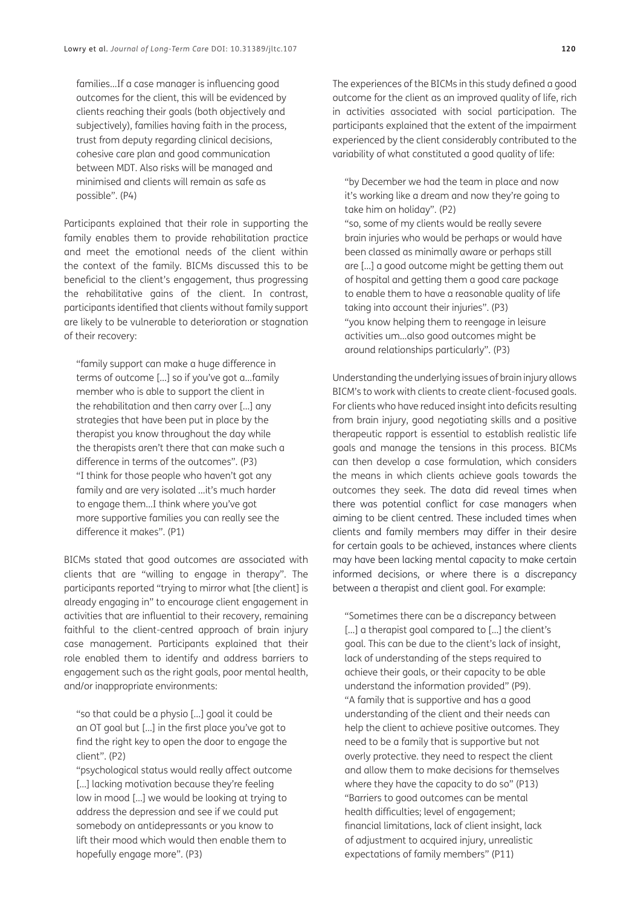families…If a case manager is influencing good outcomes for the client, this will be evidenced by clients reaching their goals (both objectively and subjectively), families having faith in the process, trust from deputy regarding clinical decisions, cohesive care plan and good communication between MDT. Also risks will be managed and minimised and clients will remain as safe as possible". (P4)

Participants explained that their role in supporting the family enables them to provide rehabilitation practice and meet the emotional needs of the client within the context of the family. BICMs discussed this to be beneficial to the client's engagement, thus progressing the rehabilitative gains of the client. In contrast, participants identified that clients without family support are likely to be vulnerable to deterioration or stagnation of their recovery:

"family support can make a huge difference in terms of outcome […] so if you've got a…family member who is able to support the client in the rehabilitation and then carry over […] any strategies that have been put in place by the therapist you know throughout the day while the therapists aren't there that can make such a difference in terms of the outcomes". (P3) "I think for those people who haven't got any family and are very isolated …it's much harder to engage them…I think where you've got more supportive families you can really see the difference it makes". (P1)

BICMs stated that good outcomes are associated with clients that are "willing to engage in therapy". The participants reported "trying to mirror what [the client] is already engaging in" to encourage client engagement in activities that are influential to their recovery, remaining faithful to the client-centred approach of brain injury case management. Participants explained that their role enabled them to identify and address barriers to engagement such as the right goals, poor mental health, and/or inappropriate environments:

"so that could be a physio […] goal it could be an OT goal but […] in the first place you've got to find the right key to open the door to engage the client". (P2)

"psychological status would really affect outcome [...] lacking motivation because they're feeling low in mood […] we would be looking at trying to address the depression and see if we could put somebody on antidepressants or you know to lift their mood which would then enable them to hopefully engage more". (P3)

The experiences of the BICMs in this study defined a good outcome for the client as an improved quality of life, rich in activities associated with social participation. The participants explained that the extent of the impairment experienced by the client considerably contributed to the variability of what constituted a good quality of life:

"by December we had the team in place and now it's working like a dream and now they're going to take him on holiday". (P2) "so, some of my clients would be really severe

brain injuries who would be perhaps or would have been classed as minimally aware or perhaps still are […] a good outcome might be getting them out of hospital and getting them a good care package to enable them to have a reasonable quality of life taking into account their injuries". (P3) "you know helping them to reengage in leisure activities um…also good outcomes might be around relationships particularly". (P3)

Understanding the underlying issues of brain injury allows BICM's to work with clients to create client-focused goals. For clients who have reduced insight into deficits resulting from brain injury, good negotiating skills and a positive therapeutic rapport is essential to establish realistic life goals and manage the tensions in this process. BICMs can then develop a case formulation, which considers the means in which clients achieve goals towards the outcomes they seek. The data did reveal times when there was potential conflict for case managers when aiming to be client centred. These included times when clients and family members may differ in their desire for certain goals to be achieved, instances where clients may have been lacking mental capacity to make certain informed decisions, or where there is a discrepancy between a therapist and client goal. For example:

"Sometimes there can be a discrepancy between [...] a therapist goal compared to [...] the client's goal. This can be due to the client's lack of insight, lack of understanding of the steps required to achieve their goals, or their capacity to be able understand the information provided" (P9). "A family that is supportive and has a good understanding of the client and their needs can help the client to achieve positive outcomes. They need to be a family that is supportive but not overly protective. they need to respect the client and allow them to make decisions for themselves where they have the capacity to do so" (P13) "Barriers to good outcomes can be mental health difficulties; level of engagement; financial limitations, lack of client insight, lack of adjustment to acquired injury, unrealistic expectations of family members" (P11)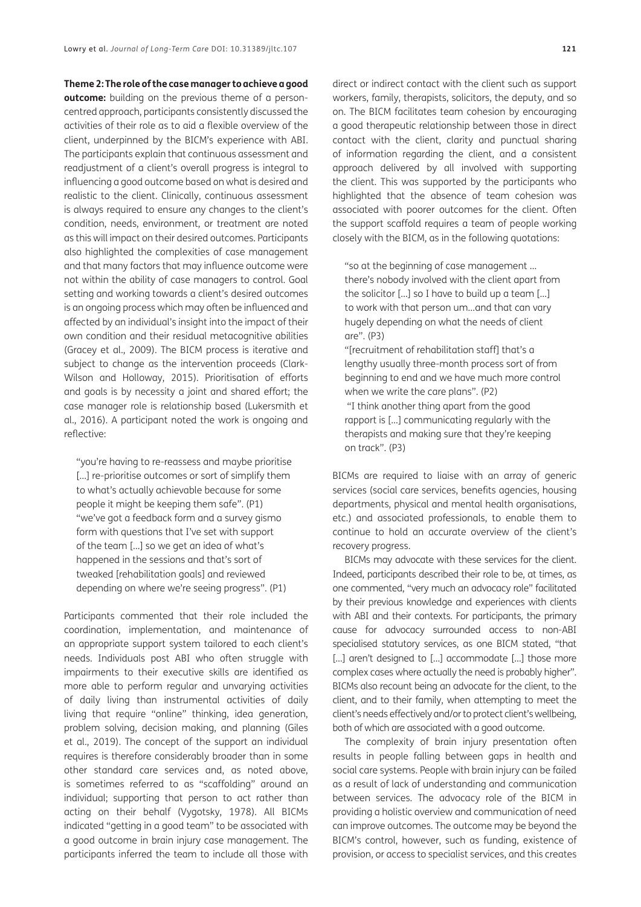**Theme 2: The role of the case manager to achieve a good outcome:** building on the previous theme of a personcentred approach, participants consistently discussed the activities of their role as to aid a flexible overview of the client, underpinned by the BICM's experience with ABI. The participants explain that continuous assessment and readjustment of a client's overall progress is integral to influencing a good outcome based on what is desired and realistic to the client. Clinically, continuous assessment is always required to ensure any changes to the client's condition, needs, environment, or treatment are noted as this will impact on their desired outcomes. Participants also highlighted the complexities of case management and that many factors that may influence outcome were not within the ability of case managers to control. Goal setting and working towards a client's desired outcomes is an ongoing process which may often be influenced and affected by an individual's insight into the impact of their own condition and their residual metacognitive abilities (Gracey et al., 2009). The BICM process is iterative and subject to change as the intervention proceeds [\(Clark-](#page-12-15)[Wilson and Holloway, 2015](#page-12-15)). Prioritisation of efforts and goals is by necessity a joint and shared effort; the case manager role is relationship based [\(Lukersmith et](#page-13-14) [al., 2016](#page-13-14)). A participant noted the work is ongoing and reflective:

"you're having to re-reassess and maybe prioritise [...] re-prioritise outcomes or sort of simplify them to what's actually achievable because for some people it might be keeping them safe". (P1) "we've got a feedback form and a survey gismo form with questions that I've set with support of the team […] so we get an idea of what's happened in the sessions and that's sort of tweaked [rehabilitation goals] and reviewed depending on where we're seeing progress". (P1)

Participants commented that their role included the coordination, implementation, and maintenance of an appropriate support system tailored to each client's needs. Individuals post ABI who often struggle with impairments to their executive skills are identified as more able to perform regular and unvarying activities of daily living than instrumental activities of daily living that require "online" thinking, idea generation, problem solving, decision making, and planning [\(Giles](#page-13-16) [et al., 2019](#page-13-16)). The concept of the support an individual requires is therefore considerably broader than in some other standard care services and, as noted above, is sometimes referred to as "scaffolding" around an individual; supporting that person to act rather than acting on their behalf (Vygotsky, 1978). All BICMs indicated "getting in a good team" to be associated with a good outcome in brain injury case management. The participants inferred the team to include all those with

direct or indirect contact with the client such as support workers, family, therapists, solicitors, the deputy, and so on. The BICM facilitates team cohesion by encouraging a good therapeutic relationship between those in direct contact with the client, clarity and punctual sharing of information regarding the client, and a consistent approach delivered by all involved with supporting the client. This was supported by the participants who highlighted that the absence of team cohesion was associated with poorer outcomes for the client. Often the support scaffold requires a team of people working closely with the BICM, as in the following quotations:

"so at the beginning of case management … there's nobody involved with the client apart from the solicitor […] so I have to build up a team […] to work with that person um…and that can vary hugely depending on what the needs of client are". (P3)

"[recruitment of rehabilitation staff] that's a lengthy usually three-month process sort of from beginning to end and we have much more control when we write the care plans". (P2)

 "I think another thing apart from the good rapport is […] communicating regularly with the therapists and making sure that they're keeping on track". (P3)

BICMs are required to liaise with an array of generic services (social care services, benefits agencies, housing departments, physical and mental health organisations, etc.) and associated professionals, to enable them to continue to hold an accurate overview of the client's recovery progress.

BICMs may advocate with these services for the client. Indeed, participants described their role to be, at times, as one commented, "very much an advocacy role" facilitated by their previous knowledge and experiences with clients with ABI and their contexts. For participants, the primary cause for advocacy surrounded access to non-ABI specialised statutory services, as one BICM stated, "that [...] aren't designed to [...] accommodate [...] those more complex cases where actually the need is probably higher". BICMs also recount being an advocate for the client, to the client, and to their family, when attempting to meet the client's needs effectively and/or to protect client's wellbeing, both of which are associated with a good outcome.

The complexity of brain injury presentation often results in people falling between gaps in health and social care systems. People with brain injury can be failed as a result of lack of understanding and communication between services. The advocacy role of the BICM in providing a holistic overview and communication of need can improve outcomes. The outcome may be beyond the BICM's control, however, such as funding, existence of provision, or access to specialist services, and this creates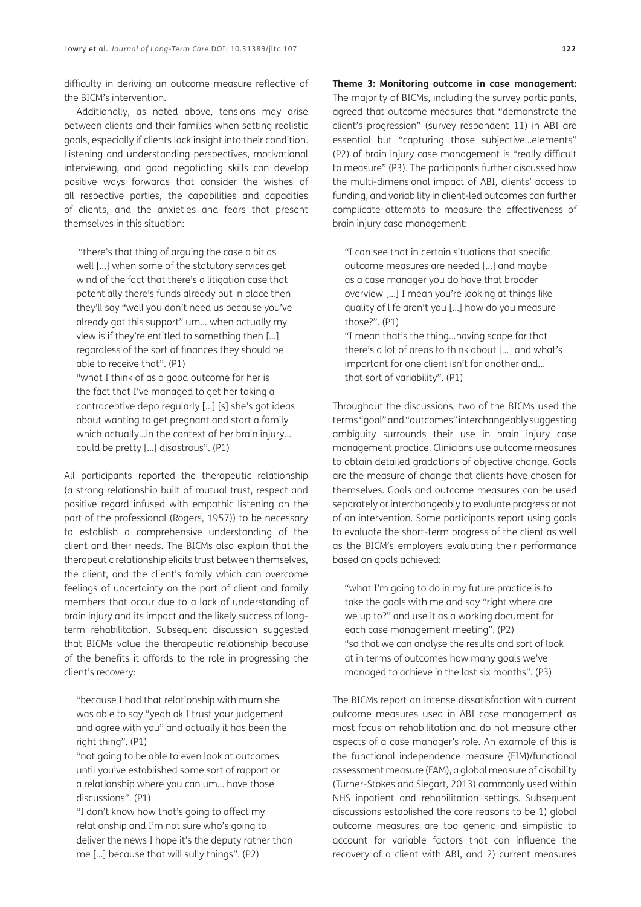difficulty in deriving an outcome measure reflective of the BICM's intervention.

Additionally, as noted above, tensions may arise between clients and their families when setting realistic goals, especially if clients lack insight into their condition. Listening and understanding perspectives, motivational interviewing, and good negotiating skills can develop positive ways forwards that consider the wishes of all respective parties, the capabilities and capacities of clients, and the anxieties and fears that present themselves in this situation:

"there's that thing of arguing the case a bit as well […] when some of the statutory services get wind of the fact that there's a litigation case that potentially there's funds already put in place then they'll say "well you don't need us because you've already got this support" um… when actually my view is if they're entitled to something then […] regardless of the sort of finances they should be able to receive that". (P1)

"what I think of as a good outcome for her is the fact that I've managed to get her taking a contraceptive depo regularly […] [s] she's got ideas about wanting to get pregnant and start a family which actually…in the context of her brain injury… could be pretty […] disastrous". (P1)

All participants reported the therapeutic relationship (a strong relationship built of mutual trust, respect and positive regard infused with empathic listening on the part of the professional ([Rogers, 1957](#page-14-3))) to be necessary to establish a comprehensive understanding of the client and their needs. The BICMs also explain that the therapeutic relationship elicits trust between themselves, the client, and the client's family which can overcome feelings of uncertainty on the part of client and family members that occur due to a lack of understanding of brain injury and its impact and the likely success of longterm rehabilitation. Subsequent discussion suggested that BICMs value the therapeutic relationship because of the benefits it affords to the role in progressing the client's recovery:

"because I had that relationship with mum she was able to say "yeah ok I trust your judgement and agree with you" and actually it has been the right thing". (P1)

"not going to be able to even look at outcomes until you've established some sort of rapport or a relationship where you can um… have those discussions". (P1)

"I don't know how that's going to affect my relationship and I'm not sure who's going to deliver the news I hope it's the deputy rather than me […] because that will sully things". (P2)

**Theme 3: Monitoring outcome in case management:** The majority of BICMs, including the survey participants, agreed that outcome measures that "demonstrate the client's progression" (survey respondent 11) in ABI are essential but "capturing those subjective…elements" (P2) of brain injury case management is "really difficult to measure" (P3). The participants further discussed how the multi-dimensional impact of ABI, clients' access to funding, and variability in client-led outcomes can further complicate attempts to measure the effectiveness of brain injury case management:

"I can see that in certain situations that specific outcome measures are needed […] and maybe as a case manager you do have that broader overview […] I mean you're looking at things like quality of life aren't you […] how do you measure those?". (P1)

"I mean that's the thing…having scope for that there's a lot of areas to think about […] and what's important for one client isn't for another and… that sort of variability". (P1)

Throughout the discussions, two of the BICMs used the terms "goal" and "outcomes" interchangeably suggesting ambiguity surrounds their use in brain injury case management practice. Clinicians use outcome measures to obtain detailed gradations of objective change. Goals are the measure of change that clients have chosen for themselves. Goals and outcome measures can be used separately or interchangeably to evaluate progress or not of an intervention. Some participants report using goals to evaluate the short-term progress of the client as well as the BICM's employers evaluating their performance based on goals achieved:

"what I'm going to do in my future practice is to take the goals with me and say "right where are we up to?" and use it as a working document for each case management meeting". (P2) "so that we can analyse the results and sort of look at in terms of outcomes how many goals we've managed to achieve in the last six months". (P3)

The BICMs report an intense dissatisfaction with current outcome measures used in ABI case management as most focus on rehabilitation and do not measure other aspects of a case manager's role. An example of this is the functional independence measure (FIM)/functional assessment measure (FAM), a global measure of disability ([Turner-Stokes and Siegart, 2013](#page-14-16)) commonly used within NHS inpatient and rehabilitation settings. Subsequent discussions established the core reasons to be 1) global outcome measures are too generic and simplistic to account for variable factors that can influence the recovery of a client with ABI, and 2) current measures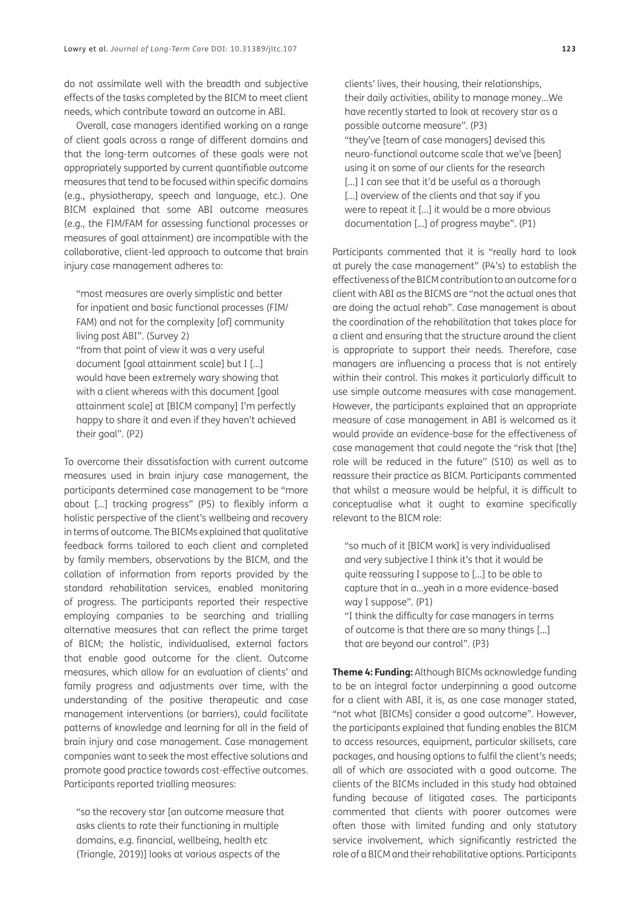do not assimilate well with the breadth and subjective effects of the tasks completed by the BICM to meet client needs, which contribute toward an outcome in ABI.

Overall, case managers identified working on a range of client goals across a range of different domains and that the long-term outcomes of these goals were not appropriately supported by current quantifiable outcome measures that tend to be focused within specific domains (e.g., physiotherapy, speech and language, etc.). One BICM explained that some ABI outcome measures (e.g., the FIM/FAM for assessing functional processes or measures of goal attainment) are incompatible with the collaborative, client-led approach to outcome that brain injury case management adheres to:

"most measures are overly simplistic and better for inpatient and basic functional processes (FIM/ FAM) and not for the complexity [of] community living post ABI". (Survey 2) "from that point of view it was a very useful document [goal attainment scale] but I […] would have been extremely wary showing that with a client whereas with this document [goal attainment scale] at [BICM company] I'm perfectly happy to share it and even if they haven't achieved their goal". (P2)

To overcome their dissatisfaction with current outcome measures used in brain injury case management, the participants determined case management to be "more about […] tracking progress" (P5) to flexibly inform a holistic perspective of the client's wellbeing and recovery in terms of outcome. The BICMs explained that qualitative feedback forms tailored to each client and completed by family members, observations by the BICM, and the collation of information from reports provided by the standard rehabilitation services, enabled monitoring of progress. The participants reported their respective employing companies to be searching and trialling alternative measures that can reflect the prime target of BICM; the holistic, individualised, external factors that enable good outcome for the client. Outcome measures, which allow for an evaluation of clients' and family progress and adjustments over time, with the understanding of the positive therapeutic and case management interventions (or barriers), could facilitate patterns of knowledge and learning for all in the field of brain injury and case management. Case management companies want to seek the most effective solutions and promote good practice towards cost-effective outcomes. Participants reported trialling measures:

"so the recovery star [an outcome measure that asks clients to rate their functioning in multiple domains, e.g. financial, wellbeing, health etc ([Triangle, 2019\)](#page-14-17)] looks at various aspects of the

clients' lives, their housing, their relationships, their daily activities, ability to manage money…We have recently started to look at recovery star as a possible outcome measure". (P3) "they've [team of case managers] devised this neuro-functional outcome scale that we've [been] using it on some of our clients for the research [...] I can see that it'd be useful as a thorough [...] overview of the clients and that say if you were to repeat it […] it would be a more obvious documentation […] of progress maybe". (P1)

Participants commented that it is "really hard to look at purely the case management" (P4's) to establish the effectiveness of the BICM contribution to an outcome for a client with ABI as the BICMS are "not the actual ones that are doing the actual rehab". Case management is about the coordination of the rehabilitation that takes place for a client and ensuring that the structure around the client is appropriate to support their needs. Therefore, case managers are influencing a process that is not entirely within their control. This makes it particularly difficult to use simple outcome measures with case management. However, the participants explained that an appropriate measure of case management in ABI is welcomed as it would provide an evidence-base for the effectiveness of case management that could negate the "risk that [the] role will be reduced in the future" (S10) as well as to reassure their practice as BICM. Participants commented that whilst a measure would be helpful, it is difficult to conceptualise what it ought to examine specifically relevant to the BICM role:

"so much of it [BICM work] is very individualised and very subjective I think it's that it would be quite reassuring I suppose to […] to be able to capture that in a…yeah in a more evidence-based way I suppose". (P1)

"I think the difficulty for case managers in terms of outcome is that there are so many things […] that are beyond our control". (P3)

**Theme 4: Funding:** Although BICMs acknowledge funding to be an integral factor underpinning a good outcome for a client with ABI, it is, as one case manager stated, "not what [BICMs] consider a good outcome". However, the participants explained that funding enables the BICM to access resources, equipment, particular skillsets, care packages, and housing options to fulfil the client's needs; all of which are associated with a good outcome. The clients of the BICMs included in this study had obtained funding because of litigated cases. The participants commented that clients with poorer outcomes were often those with limited funding and only statutory service involvement, which significantly restricted the role of a BICM and their rehabilitative options. Participants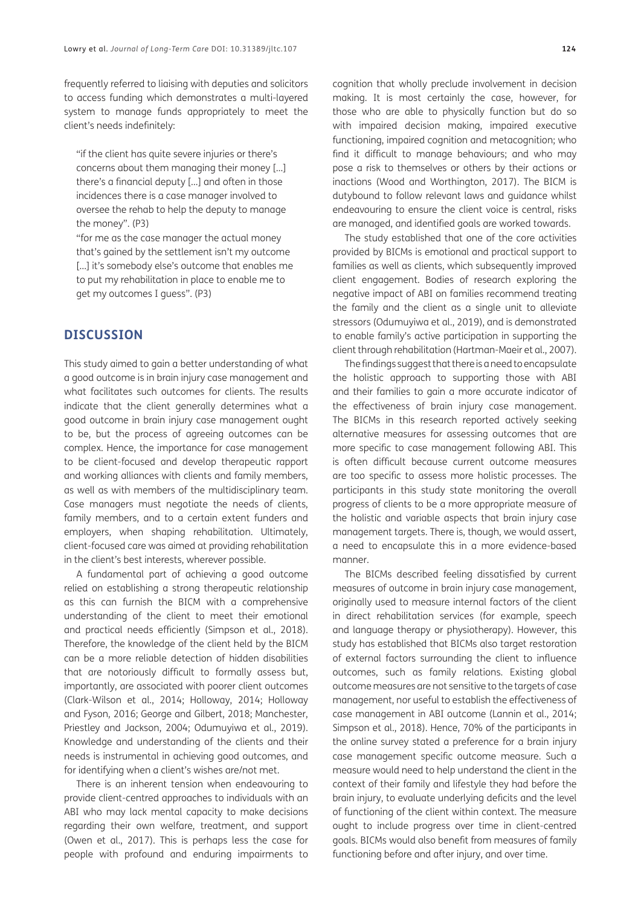frequently referred to liaising with deputies and solicitors to access funding which demonstrates a multi-layered system to manage funds appropriately to meet the client's needs indefinitely:

"if the client has quite severe injuries or there's concerns about them managing their money […] there's a financial deputy […] and often in those incidences there is a case manager involved to oversee the rehab to help the deputy to manage the money". (P3)

"for me as the case manager the actual money that's gained by the settlement isn't my outcome [...] it's somebody else's outcome that enables me to put my rehabilitation in place to enable me to get my outcomes I guess". (P3)

### **DISCUSSION**

This study aimed to gain a better understanding of what a good outcome is in brain injury case management and what facilitates such outcomes for clients. The results indicate that the client generally determines what a good outcome in brain injury case management ought to be, but the process of agreeing outcomes can be complex. Hence, the importance for case management to be client-focused and develop therapeutic rapport and working alliances with clients and family members, as well as with members of the multidisciplinary team. Case managers must negotiate the needs of clients, family members, and to a certain extent funders and employers, when shaping rehabilitation. Ultimately, client-focused care was aimed at providing rehabilitation in the client's best interests, wherever possible.

A fundamental part of achieving a good outcome relied on establishing a strong therapeutic relationship as this can furnish the BICM with a comprehensive understanding of the client to meet their emotional and practical needs efficiently [\(Simpson et al., 2018](#page-14-12)). Therefore, the knowledge of the client held by the BICM can be a more reliable detection of hidden disabilities that are notoriously difficult to formally assess but, importantly, are associated with poorer client outcomes [\(Clark-Wilson et al., 2014](#page-12-7); Holloway, 2014; [Holloway](#page-13-10) [and Fyson, 2016](#page-13-10); [George and Gilbert, 2018](#page-13-17); [Manchester,](#page-13-18) [Priestley and Jackson, 2004;](#page-13-18) [Odumuyiwa et al., 2019](#page-14-10)). Knowledge and understanding of the clients and their needs is instrumental in achieving good outcomes, and for identifying when a client's wishes are/not met.

There is an inherent tension when endeavouring to provide client-centred approaches to individuals with an ABI who may lack mental capacity to make decisions regarding their own welfare, treatment, and support [\(Owen et al., 2017](#page-14-18)). This is perhaps less the case for people with profound and enduring impairments to

cognition that wholly preclude involvement in decision making. It is most certainly the case, however, for those who are able to physically function but do so with impaired decision making, impaired executive functioning, impaired cognition and metacognition; who find it difficult to manage behaviours; and who may pose a risk to themselves or others by their actions or inactions [\(Wood and Worthington, 2017](#page-15-0)). The BICM is dutybound to follow relevant laws and guidance whilst endeavouring to ensure the client voice is central, risks are managed, and identified goals are worked towards.

The study established that one of the core activities provided by BICMs is emotional and practical support to families as well as clients, which subsequently improved client engagement. Bodies of research exploring the negative impact of ABI on families recommend treating the family and the client as a single unit to alleviate stressors ([Odumuyiwa et al., 2019](#page-14-10)), and is demonstrated to enable family's active participation in supporting the client through rehabilitation ([Hartman-Maeir et al., 2007\)](#page-13-19).

The findings suggest that there is a need to encapsulate the holistic approach to supporting those with ABI and their families to gain a more accurate indicator of the effectiveness of brain injury case management. The BICMs in this research reported actively seeking alternative measures for assessing outcomes that are more specific to case management following ABI. This is often difficult because current outcome measures are too specific to assess more holistic processes. The participants in this study state monitoring the overall progress of clients to be a more appropriate measure of the holistic and variable aspects that brain injury case management targets. There is, though, we would assert, a need to encapsulate this in a more evidence-based manner.

The BICMs described feeling dissatisfied by current measures of outcome in brain injury case management, originally used to measure internal factors of the client in direct rehabilitation services (for example, speech and language therapy or physiotherapy). However, this study has established that BICMs also target restoration of external factors surrounding the client to influence outcomes, such as family relations. Existing global outcome measures are not sensitive to the targets of case management, nor useful to establish the effectiveness of case management in ABI outcome ([Lannin et al., 2014;](#page-13-13) [Simpson et al., 2018](#page-14-12)). Hence, 70% of the participants in the online survey stated a preference for a brain injury case management specific outcome measure. Such a measure would need to help understand the client in the context of their family and lifestyle they had before the brain injury, to evaluate underlying deficits and the level of functioning of the client within context. The measure ought to include progress over time in client-centred goals. BICMs would also benefit from measures of family functioning before and after injury, and over time.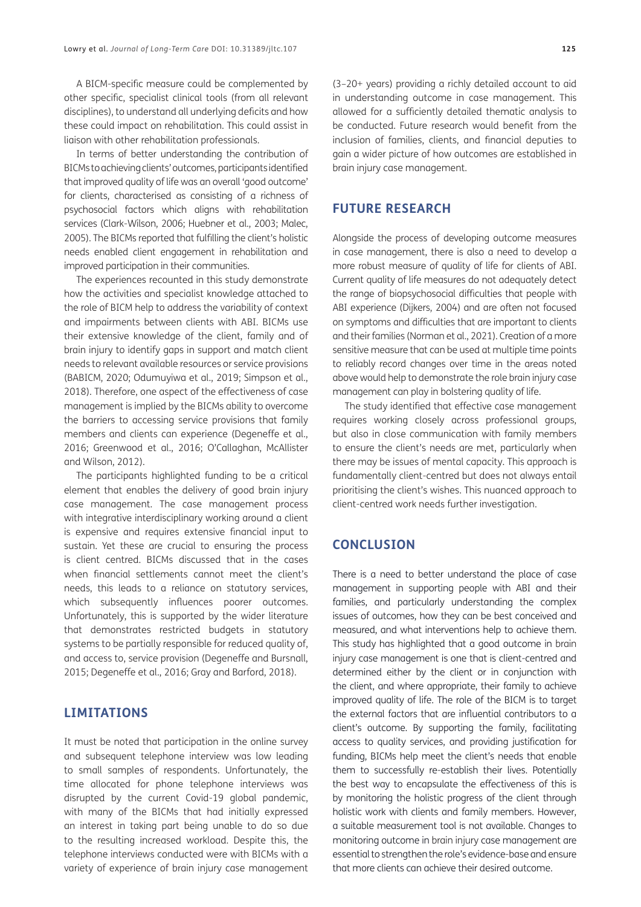A BICM-specific measure could be complemented by other specific, specialist clinical tools (from all relevant disciplines), to understand all underlying deficits and how these could impact on rehabilitation. This could assist in liaison with other rehabilitation professionals.

In terms of better understanding the contribution of BICMs to achieving clients' outcomes, participants identified that improved quality of life was an overall 'good outcome' for clients, characterised as consisting of a richness of psychosocial factors which aligns with rehabilitation services [\(Clark-Wilson, 2006](#page-12-16); [Huebner et al., 2003](#page-13-20); [Malec,](#page-13-7) [2005\)](#page-13-7). The BICMs reported that fulfilling the client's holistic needs enabled client engagement in rehabilitation and improved participation in their communities.

The experiences recounted in this study demonstrate how the activities and specialist knowledge attached to the role of BICM help to address the variability of context and impairments between clients with ABI. BICMs use their extensive knowledge of the client, family and of brain injury to identify gaps in support and match client needs to relevant available resources or service provisions (BABICM, 2020; [Odumuyiwa et al., 2019;](#page-14-10) [Simpson et al.,](#page-14-12) [2018](#page-14-12)). Therefore, one aspect of the effectiveness of case management is implied by the BICMs ability to overcome the barriers to accessing service provisions that family members and clients can experience [\(Degeneffe et al.,](#page-12-17) [2016](#page-12-17); [Greenwood et al., 2016](#page-13-21); O'Callaghan, McAllister and Wilson, 2012).

The participants highlighted funding to be a critical element that enables the delivery of good brain injury case management. The case management process with integrative interdisciplinary working around a client is expensive and requires extensive financial input to sustain. Yet these are crucial to ensuring the process is client centred. BICMs discussed that in the cases when financial settlements cannot meet the client's needs, this leads to a reliance on statutory services, which subsequently influences poorer outcomes. Unfortunately, this is supported by the wider literature that demonstrates restricted budgets in statutory systems to be partially responsible for reduced quality of, and access to, service provision [\(Degeneffe and Bursnall,](#page-12-17) [2015](#page-12-17); [Degeneffe et al., 2016](#page-12-17); [Gray and Barford, 2018](#page-13-9)).

## **LIMITATIONS**

It must be noted that participation in the online survey and subsequent telephone interview was low leading to small samples of respondents. Unfortunately, the time allocated for phone telephone interviews was disrupted by the current Covid-19 global pandemic, with many of the BICMs that had initially expressed an interest in taking part being unable to do so due to the resulting increased workload. Despite this, the telephone interviews conducted were with BICMs with a variety of experience of brain injury case management

(3–20+ years) providing a richly detailed account to aid in understanding outcome in case management. This allowed for a sufficiently detailed thematic analysis to be conducted. Future research would benefit from the inclusion of families, clients, and financial deputies to gain a wider picture of how outcomes are established in brain injury case management.

## **FUTURE RESEARCH**

Alongside the process of developing outcome measures in case management, there is also a need to develop a more robust measure of quality of life for clients of ABI. Current quality of life measures do not adequately detect the range of biopsychosocial difficulties that people with ABI experience [\(Dijkers, 2004\)](#page-12-18) and are often not focused on symptoms and difficulties that are important to clients and their families ([Norman et al., 2021\)](#page-14-13). Creation of a more sensitive measure that can be used at multiple time points to reliably record changes over time in the areas noted above would help to demonstrate the role brain injury case management can play in bolstering quality of life.

The study identified that effective case management requires working closely across professional groups, but also in close communication with family members to ensure the client's needs are met, particularly when there may be issues of mental capacity. This approach is fundamentally client-centred but does not always entail prioritising the client's wishes. This nuanced approach to client-centred work needs further investigation.

### **CONCLUSION**

There is a need to better understand the place of case management in supporting people with ABI and their families, and particularly understanding the complex issues of outcomes, how they can be best conceived and measured, and what interventions help to achieve them. This study has highlighted that a good outcome in brain injury case management is one that is client-centred and determined either by the client or in conjunction with the client, and where appropriate, their family to achieve improved quality of life. The role of the BICM is to target the external factors that are influential contributors to a client's outcome. By supporting the family, facilitating access to quality services, and providing justification for funding, BICMs help meet the client's needs that enable them to successfully re-establish their lives. Potentially the best way to encapsulate the effectiveness of this is by monitoring the holistic progress of the client through holistic work with clients and family members. However, a suitable measurement tool is not available. Changes to monitoring outcome in brain injury case management are essential to strengthen the role's evidence-base and ensure that more clients can achieve their desired outcome.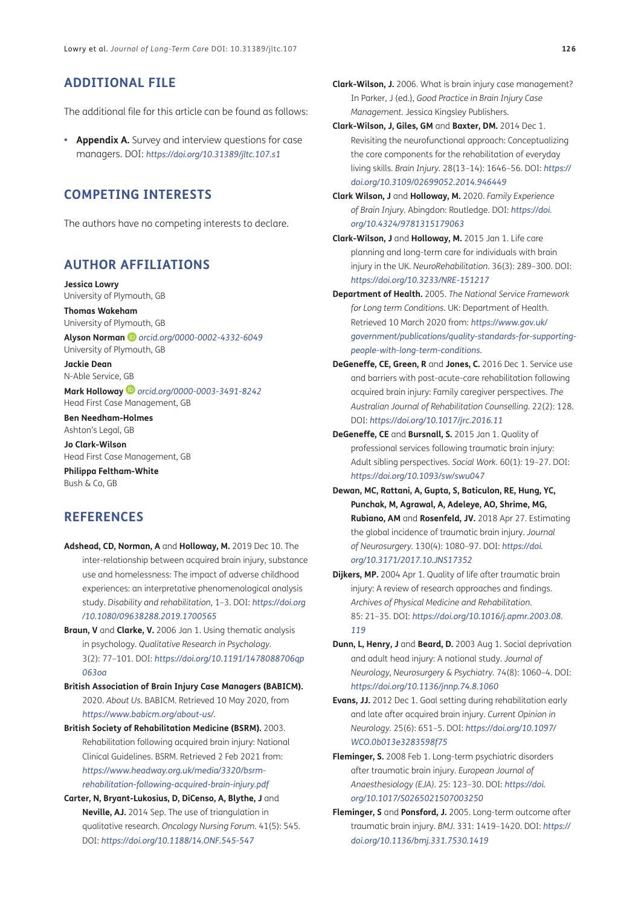# **ADDITIONAL FILE**

The additional file for this article can be found as follows:

**• Appendix A.** Survey and interview questions for case managers. DOI: *[https://doi.org/10.31389/jltc.107.s1](https://doi.org/10.31389/jltc.107.s1
)*

# **COMPETING INTERESTS**

The authors have no competing interests to declare.

## <span id="page-12-0"></span>**AUTHOR AFFILIATIONS**

**Jessica Lowry** University of Plymouth, GB

**Thomas Wakeham** University of Plymouth, GB

**Alyson Norman** *[orcid.org/0000-0002-4332-6049](https://orcid.org/0000-0002-4332-6049)* University of Plymouth, GB

**Jackie Dean** N-Able Service, GB

**Mark Holloway** *[orcid.org/0000-0003-3491-8242](https://orcid.org/0000-0003-3491-8242)* Head First Case Management, GB

**Ben Needham-Holmes** Ashton's Legal, GB

**Jo Clark-Wilson** Head First Case Management, GB

**Philippa Feltham-White** Bush & Co, GB

## **REFERENCES**

- <span id="page-12-5"></span>**Adshead, CD, Norman, A** and **Holloway, M.** 2019 Dec 10. The inter-relationship between acquired brain injury, substance use and homelessness: The impact of adverse childhood experiences: an interpretative phenomenological analysis study. *Disability and rehabilitation*, 1–3. DOI: *[https://doi.org](https://doi.org/10.1080/09638288.2019.1700565 ) [/10.1080/09638288.2019.1700565](https://doi.org/10.1080/09638288.2019.1700565 )*
- <span id="page-12-13"></span>**Braun, V** and **Clarke, V.** 2006 Jan 1. Using thematic analysis in psychology. *Qualitative Research in Psychology.* 3(2): 77–101. DOI: *[https://doi.org/10.1191/1478088706qp](https://doi.org/10.1191/1478088706qp063oa ) [063oa](https://doi.org/10.1191/1478088706qp063oa )*
- <span id="page-12-9"></span>**British Association of Brain Injury Case Managers (BABICM).** 2020. *About Us.* BABICM. Retrieved 10 May 2020, from *[https://www.babicm.org/about-us/.](https://www.babicm.org/about-us/)*
- <span id="page-12-11"></span>**British Society of Rehabilitation Medicine (BSRM).** 2003. Rehabilitation following acquired brain injury: National Clinical Guidelines. BSRM. Retrieved 2 Feb 2021 from: *[https://www.headway.org.uk/media/3320/bsrm](https://www.headway.org.uk/media/3320/bsrm-rehabilitation-following-acquired-brain-injury.pdf)[rehabilitation-following-acquired-brain-injury.pdf](https://www.headway.org.uk/media/3320/bsrm-rehabilitation-following-acquired-brain-injury.pdf)*
- <span id="page-12-12"></span>**Carter, N, Bryant-Lukosius, D, DiCenso, A, Blythe, J** and **Neville, AJ.** 2014 Sep. The use of triangulation in qualitative research. *Oncology Nursing Forum.* 41(5): 545. DOI: *[https://doi.org/10.1188/14.ONF.545-547](https://doi.org/10.1188/14.ONF.545-547 )*
- <span id="page-12-16"></span>**Clark-Wilson, J.** 2006. What is brain injury case management? In Parker, J (ed.), *Good Practice in Brain Injury Case Management.* Jessica Kingsley Publishers.
- <span id="page-12-7"></span>**Clark-Wilson, J, Giles, GM** and **Baxter, DM.** 2014 Dec 1. Revisiting the neurofunctional approach: Conceptualizing the core components for the rehabilitation of everyday living skills. *Brain Injury.* 28(13–14): 1646–56. DOI: *[https://](https://doi.org/10.3109/02699052.2014.946449 ) [doi.org/10.3109/02699052.2014.946449](https://doi.org/10.3109/02699052.2014.946449 )*
- <span id="page-12-14"></span>**Clark Wilson, J** and **Holloway, M.** 2020. *Family Experience of Brain Injury.* Abingdon: Routledge. DOI: *[https://doi.](https://doi.org/10.4324/9781315179063 ) [org/10.4324/9781315179063](https://doi.org/10.4324/9781315179063 )*
- <span id="page-12-15"></span>**Clark-Wilson, J** and **Holloway, M.** 2015 Jan 1. Life care planning and long-term care for individuals with brain injury in the UK. *NeuroRehabilitation.* 36(3): 289–300. DOI: *[https://doi.org/10.3233/NRE-151217](https://doi.org/10.3233/NRE-151217 )*
- <span id="page-12-10"></span>**Department of Health.** 2005. *The National Service Framework for Long term Conditions*. UK: Department of Health. Retrieved 10 March 2020 from: *[https://www.gov.uk/](https://www.gov.uk/government/publications/quality-standards-for-supporting-people-with-long-term-conditions) [government/publications/quality-standards-for-supporting](https://www.gov.uk/government/publications/quality-standards-for-supporting-people-with-long-term-conditions)[people-with-long-term-conditions](https://www.gov.uk/government/publications/quality-standards-for-supporting-people-with-long-term-conditions).*
- <span id="page-12-17"></span>**DeGeneffe, CE, Green, R** and **Jones, C.** 2016 Dec 1. Service use and barriers with post-acute-care rehabilitation following acquired brain injury: Family caregiver perspectives. *The Australian Journal of Rehabilitation Counselling.* 22(2): 128. DOI: *[https://doi.org/10.1017/jrc.2016.11](https://doi.org/10.1017/jrc.2016.11 )*
- <span id="page-12-6"></span>**DeGeneffe, CE** and **Bursnall, S.** 2015 Jan 1. Quality of professional services following traumatic brain injury: Adult sibling perspectives. *Social Work.* 60(1): 19–27. DOI: *[https://doi.org/10.1093/sw/swu047](https://doi.org/10.1093/sw/swu047 )*
- <span id="page-12-1"></span>**Dewan, MC, Rattani, A, Gupta, S, Baticulon, RE, Hung, YC, Punchak, M, Agrawal, A, Adeleye, AO, Shrime, MG, Rubiano, AM** and **Rosenfeld, JV.** 2018 Apr 27. Estimating the global incidence of traumatic brain injury. *Journal of Neurosurgery.* 130(4): 1080–97. DOI: *[https://doi.](https://doi.org/10.3171/2017.10.JNS17352 ) [org/10.3171/2017.10.JNS17352](https://doi.org/10.3171/2017.10.JNS17352 )*
- <span id="page-12-18"></span>**Dijkers, MP.** 2004 Apr 1. Quality of life after traumatic brain injury: A review of research approaches and findings. *Archives of Physical Medicine and Rehabilitation.* 85: 21–35. DOI: *[https://doi.org/10.1016/j.apmr.2003.08.](https://doi.org/10.1016/j.apmr.2003.08.119 ) [119](https://doi.org/10.1016/j.apmr.2003.08.119 )*
- <span id="page-12-3"></span>**Dunn, L, Henry, J** and **Beard, D.** 2003 Aug 1. Social deprivation and adult head injury: A national study. *Journal of Neurology, Neurosurgery & Psychiatry.* 74(8): 1060–4. DOI: *[https://doi.org/10.1136/jnnp.74.8.1060](https://doi.org/10.1136/jnnp.74.8.1060 )*
- <span id="page-12-8"></span>**Evans, JJ.** 2012 Dec 1. Goal setting during rehabilitation early and late after acquired brain injury. *Current Opinion in Neurology.* 25(6): 651–5. DOI: *[https://doi.org/10.1097/](https://doi.org/10.1097/WCO.0b013e3283598f75 ) [WCO.0b013e3283598f75](https://doi.org/10.1097/WCO.0b013e3283598f75 )*
- <span id="page-12-4"></span>**Fleminger, S.** 2008 Feb 1. Long-term psychiatric disorders after traumatic brain injury. *European Journal of Anaesthesiology (EJA).* 25: 123–30. DOI: *[https://doi.](https://doi.org/10.1017/S0265021507003250 ) [org/10.1017/S0265021507003250](https://doi.org/10.1017/S0265021507003250 )*
- <span id="page-12-2"></span>**Fleminger, S** and **Ponsford, J.** 2005. Long-term outcome after traumatic brain injury. *BMJ.* 331: 1419–1420. DOI: *[https://](https://doi.org/10.1136/bmj.331.7530.1419 ) [doi.org/10.1136/bmj.331.7530.1419](https://doi.org/10.1136/bmj.331.7530.1419 )*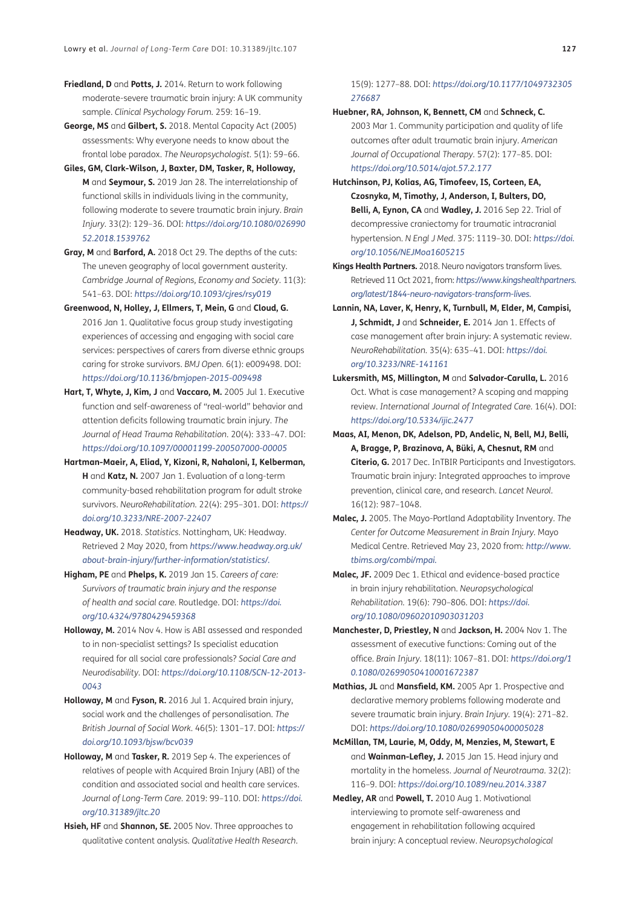- <span id="page-13-5"></span>**Friedland, D** and **Potts, J.** 2014. Return to work following moderate-severe traumatic brain injury: A UK community sample. *Clinical Psychology Forum.* 259: 16–19.
- <span id="page-13-17"></span>**George, MS** and **Gilbert, S.** 2018. Mental Capacity Act (2005) assessments: Why everyone needs to know about the frontal lobe paradox. *The Neuropsychologist.* 5(1): 59–66.
- <span id="page-13-16"></span>**Giles, GM, Clark-Wilson, J, Baxter, DM, Tasker, R, Holloway, M** and **Seymour, S.** 2019 Jan 28. The interrelationship of functional skills in individuals living in the community, following moderate to severe traumatic brain injury. *Brain Injury.* 33(2): 129–36. DOI: *[https://doi.org/10.1080/026990](https://doi.org/10.1080/02699052.2018.1539762 ) [52.2018.1539762](https://doi.org/10.1080/02699052.2018.1539762 )*
- <span id="page-13-9"></span>**Gray, M** and **Barford, A.** 2018 Oct 29. The depths of the cuts: The uneven geography of local government austerity. *Cambridge Journal of Regions, Economy and Society*. 11(3): 541–63. DOI: *[https://doi.org/10.1093/cjres/rsy019](https://doi.org/10.1093/cjres/rsy019 )*
- <span id="page-13-21"></span>**Greenwood, N, Holley, J, Ellmers, T, Mein, G** and **Cloud, G.**  2016 Jan 1. Qualitative focus group study investigating experiences of accessing and engaging with social care services: perspectives of carers from diverse ethnic groups caring for stroke survivors. *BMJ Open.* 6(1): e009498. DOI: *[https://doi.org/10.1136/bmjopen-2015-009498](https://doi.org/10.1136/bmjopen-2015-009498 )*
- <span id="page-13-4"></span>**Hart, T, Whyte, J, Kim, J** and **Vaccaro, M.** 2005 Jul 1. Executive function and self-awareness of "real-world" behavior and attention deficits following traumatic brain injury. *The Journal of Head Trauma Rehabilitation.* 20(4): 333–47. DOI: *[https://doi.org/10.1097/00001199-200507000-00005](https://doi.org/10.1097/00001199-200507000-00005 )*
- <span id="page-13-19"></span>**Hartman-Maeir, A, Eliad, Y, Kizoni, R, Nahaloni, I, Kelberman, H** and **Katz, N.** 2007 Jan 1. Evaluation of a long-term community-based rehabilitation program for adult stroke survivors. *NeuroRehabilitation.* 22(4): 295–301. DOI: *[https://](https://doi.org/10.3233/NRE-2007-22407 ) [doi.org/10.3233/NRE-2007-22407](https://doi.org/10.3233/NRE-2007-22407 )*
- <span id="page-13-0"></span>**Headway, UK.** 2018. *Statistics.* Nottingham, UK: Headway. Retrieved 2 May 2020, from *[https://www.headway.org.uk/](https://www.headway.org.uk/about-brain-injury/further-information/statistics/) [about-brain-injury/further-information/statistics/](https://www.headway.org.uk/about-brain-injury/further-information/statistics/).*
- <span id="page-13-2"></span>**Higham, PE** and **Phelps, K.** 2019 Jan 15. *Careers of care: Survivors of traumatic brain injury and the response of health and social care.* Routledge. DOI: *[https://doi.](https://doi.org/10.4324/9780429459368 ) [org/10.4324/9780429459368](https://doi.org/10.4324/9780429459368 )*
- **Holloway, M.** 2014 Nov 4. How is ABI assessed and responded to in non-specialist settings? Is specialist education required for all social care professionals? *Social Care and Neurodisability.* DOI: *[https://doi.org/10.1108/SCN-12-2013-](https://doi.org/10.1108/SCN-12-2013-0043 ) [0043](https://doi.org/10.1108/SCN-12-2013-0043 )*
- <span id="page-13-10"></span>**Holloway, M** and **Fyson, R.** 2016 Jul 1. Acquired brain injury, social work and the challenges of personalisation. *The British Journal of Social Work.* 46(5): 1301–17. DOI: *[https://](https://doi.org/10.1093/bjsw/bcv039 ) [doi.org/10.1093/bjsw/bcv039](https://doi.org/10.1093/bjsw/bcv039 )*
- **Holloway, M** and **Tasker, R.** 2019 Sep 4. The experiences of relatives of people with Acquired Brain Injury (ABI) of the condition and associated social and health care services. *Journal of Long-Term Care.* 2019: 99–110. DOI: *[https://doi.](https://doi.org/10.31389/jltc.20 ) [org/10.31389/jltc.20](https://doi.org/10.31389/jltc.20 )*
- <span id="page-13-15"></span>**Hsieh, HF** and **Shannon, SE.** 2005 Nov. Three approaches to qualitative content analysis. *Qualitative Health Research.*

15(9): 1277–88. DOI: *[https://doi.org/10.1177/1049732305](https://doi.org/10.1177/1049732305276687 ) [276687](https://doi.org/10.1177/1049732305276687 )*

- <span id="page-13-20"></span>**Huebner, RA, Johnson, K, Bennett, CM** and **Schneck, C.** 2003 Mar 1. Community participation and quality of life outcomes after adult traumatic brain injury. *American Journal of Occupational Therapy.* 57(2): 177–85. DOI: *[https://doi.org/10.5014/ajot.57.2.177](https://doi.org/10.5014/ajot.57.2.177 )*
- <span id="page-13-1"></span>**Hutchinson, PJ, Kolias, AG, Timofeev, IS, Corteen, EA, Czosnyka, M, Timothy, J, Anderson, I, Bulters, DO, Belli, A, Eynon, CA** and **Wadley, J.** 2016 Sep 22. Trial of decompressive craniectomy for traumatic intracranial hypertension. *N Engl J Med.* 375: 1119–30. DOI: *[https://doi.](https://doi.org/10.1056/NEJMoa1605215 ) [org/10.1056/NEJMoa1605215](https://doi.org/10.1056/NEJMoa1605215 )*
- <span id="page-13-12"></span>**Kings Health Partners.** 2018. Neuro navigators transform lives. Retrieved 11 Oct 2021, from: *[https://www.kingshealthpartners.](https://www.kingshealthpartners.org/latest/1844-neuro-navigators-transform-lives) [org/latest/1844-neuro-navigators-transform-lives.](https://www.kingshealthpartners.org/latest/1844-neuro-navigators-transform-lives)*
- <span id="page-13-13"></span>**Lannin, NA, Laver, K, Henry, K, Turnbull, M, Elder, M, Campisi, J, Schmidt, J** and **Schneider, E.** 2014 Jan 1. Effects of case management after brain injury: A systematic review. *NeuroRehabilitation.* 35(4): 635–41. DOI: *[https://doi.](https://doi.org/10.3233/NRE-141161 ) [org/10.3233/NRE-141161](https://doi.org/10.3233/NRE-141161 )*
- <span id="page-13-14"></span>**Lukersmith, MS, Millington, M** and **Salvador-Carulla, L.** 2016 Oct. What is case management? A scoping and mapping review. *International Journal of Integrated Care.* 16(4). DOI: *[https://doi.org/10.5334/ijic.2477](https://doi.org/10.5334/ijic.2477 )*
- **Maas, AI, Menon, DK, Adelson, PD, Andelic, N, Bell, MJ, Belli, A, Bragge, P, Brazinova, A, Büki, A, Chesnut, RM** and **Citerio, G.** 2017 Dec. InTBIR Participants and Investigators. Traumatic brain injury: Integrated approaches to improve prevention, clinical care, and research. *Lancet Neurol.* 16(12): 987–1048.
- <span id="page-13-7"></span>**Malec, J.** 2005. The Mayo-Portland Adaptability Inventory. *The Center for Outcome Measurement in Brain Injury.* Mayo Medical Centre. Retrieved May 23, 2020 from: *[http://www.](http://www.tbims.org/combi/mpai) [tbims.org/combi/mpai](http://www.tbims.org/combi/mpai).*
- <span id="page-13-8"></span>**Malec, JF.** 2009 Dec 1. Ethical and evidence-based practice in brain injury rehabilitation. *Neuropsychological Rehabilitation.* 19(6): 790–806. DOI: *[https://doi.](https://doi.org/10.1080/09602010903031203 ) [org/10.1080/09602010903031203](https://doi.org/10.1080/09602010903031203 )*
- <span id="page-13-18"></span>**Manchester, D, Priestley, N** and **Jackson, H.** 2004 Nov 1. The assessment of executive functions: Coming out of the office. *Brain Injury.* 18(11): 1067–81. DOI: *[https://doi.org/1](https://doi.org/10.1080/02699050410001672387 ) [0.1080/02699050410001672387](https://doi.org/10.1080/02699050410001672387 )*
- <span id="page-13-3"></span>**Mathias, JL** and **Mansfield, KM.** 2005 Apr 1. Prospective and declarative memory problems following moderate and severe traumatic brain injury. *Brain Injury.* 19(4): 271–82. DOI: *[https://doi.org/10.1080/02699050400005028](https://doi.org/10.1080/02699050400005028 )*
- <span id="page-13-6"></span>**McMillan, TM, Laurie, M, Oddy, M, Menzies, M, Stewart, E**  and **Wainman-Lefley, J.** 2015 Jan 15. Head injury and mortality in the homeless. *Journal of Neurotrauma.* 32(2): 116–9. DOI: *[https://doi.org/10.1089/neu.2014.3387](https://doi.org/10.1089/neu.2014.3387 )*
- <span id="page-13-11"></span>**Medley, AR** and **Powell, T.** 2010 Aug 1. Motivational interviewing to promote self-awareness and engagement in rehabilitation following acquired brain injury: A conceptual review. *Neuropsychological*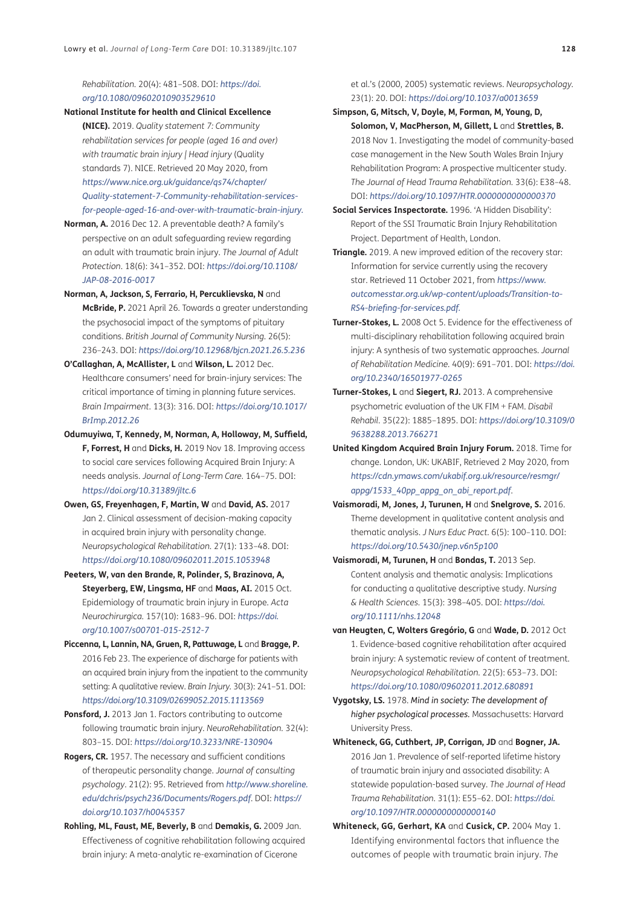*Rehabilitation.* 20(4): 481–508. DOI: *[https://doi.](https://doi.org/10.1080/09602010903529610 ) [org/10.1080/09602010903529610](https://doi.org/10.1080/09602010903529610 )*

- <span id="page-14-5"></span>**National Institute for health and Clinical Excellence (NICE).** 2019. *Quality statement 7: Community rehabilitation services for people (aged 16 and over) with traumatic brain injury | Head injury* (Quality standards 7). NICE. Retrieved 20 May 2020, from *[https://www.nice.org.uk/guidance/qs74/chapter/](https://www.nice.org.uk/guidance/qs74/chapter/Quality-statement-7-Community-rehabilitation-services-for-people-aged-16-and-over-with-traumatic-brain-injury) [Quality-statement-7-Community-rehabilitation-services](https://www.nice.org.uk/guidance/qs74/chapter/Quality-statement-7-Community-rehabilitation-services-for-people-aged-16-and-over-with-traumatic-brain-injury)[for-people-aged-16-and-over-with-traumatic-brain-injury](https://www.nice.org.uk/guidance/qs74/chapter/Quality-statement-7-Community-rehabilitation-services-for-people-aged-16-and-over-with-traumatic-brain-injury).*
- <span id="page-14-4"></span>**Norman, A.** 2016 Dec 12. A preventable death? A family's perspective on an adult safeguarding review regarding an adult with traumatic brain injury. *The Journal of Adult Protection*. 18(6): 341–352. DOI: *[https://doi.org/10.1108/](https://doi.org/10.1108/JAP-08-2016-0017 ) [JAP-08-2016-0017](https://doi.org/10.1108/JAP-08-2016-0017 )*
- <span id="page-14-13"></span>**Norman, A, Jackson, S, Ferrario, H, Percuklievska, N** and **McBride, P.** 2021 April 26. Towards a greater understanding the psychosocial impact of the symptoms of pituitary conditions. *British Journal of Community Nursing*. 26(5): 236–243. DOI: *[https://doi.org/10.12968/bjcn.2021.26.5.236](https://doi.org/10.12968/bjcn.2021.26.5.236 )*
- **O'Callaghan, A, McAllister, L** and **Wilson, L.** 2012 Dec. Healthcare consumers' need for brain-injury services: The critical importance of timing in planning future services. *Brain Impairment.* 13(3): 316. DOI: *[https://doi.org/10.1017/](https://doi.org/10.1017/BrImp.2012.26 ) [BrImp.2012.26](https://doi.org/10.1017/BrImp.2012.26 )*
- <span id="page-14-10"></span>**Odumuyiwa, T, Kennedy, M, Norman, A, Holloway, M, Suffield, F, Forrest, H** and **Dicks, H.** 2019 Nov 18. Improving access to social care services following Acquired Brain Injury: A needs analysis. *Journal of Long-Term Care.* 164–75. DOI: *[https://doi.org/10.31389/jltc.6](https://doi.org/10.31389/jltc.6 )*
- <span id="page-14-18"></span>**Owen, GS, Freyenhagen, F, Martin, W** and **David, AS.** 2017 Jan 2. Clinical assessment of decision-making capacity in acquired brain injury with personality change. *Neuropsychological Rehabilitation.* 27(1): 133–48. DOI: *[https://doi.org/10.1080/09602011.2015.1053948](https://doi.org/10.1080/09602011.2015.1053948 )*
- <span id="page-14-0"></span>**Peeters, W, van den Brande, R, Polinder, S, Brazinova, A, Steyerberg, EW, Lingsma, HF** and **Maas, AI.** 2015 Oct. Epidemiology of traumatic brain injury in Europe. *Acta Neurochirurgica.* 157(10): 1683–96. DOI: *[https://doi.](https://doi.org/10.1007/s00701-015-2512-7 ) [org/10.1007/s00701-015-2512-7](https://doi.org/10.1007/s00701-015-2512-7 )*
- <span id="page-14-9"></span>**Piccenna, L, Lannin, NA, Gruen, R, Pattuwage, L** and **Bragge, P.**  2016 Feb 23. The experience of discharge for patients with an acquired brain injury from the inpatient to the community setting: A qualitative review. *Brain Injury.* 30(3): 241–51. DOI: *[https://doi.org/10.3109/02699052.2015.1113569](https://doi.org/10.3109/02699052.2015.1113569 )*
- <span id="page-14-8"></span>**Ponsford, J.** 2013 Jan 1. Factors contributing to outcome following traumatic brain injury. *NeuroRehabilitation.* 32(4): 803–15. DOI: *[https://doi.org/10.3233/NRE-130904](https://doi.org/10.3233/NRE-130904 )*
- **Rogers, CR.** 1957. The necessary and sufficient conditions of therapeutic personality change. *Journal of consulting psychology*. 21(2): 95. Retrieved from *[http://www.shoreline.](http://www.shoreline.edu/dchris/psych236/Documents/Rogers.pdf) [edu/dchris/psych236/Documents/Rogers.pdf](http://www.shoreline.edu/dchris/psych236/Documents/Rogers.pdf)*. DOI: *[https://](https://doi.org/10.1037/h0045357 ) [doi.org/10.1037/h0045357](https://doi.org/10.1037/h0045357 )*
- <span id="page-14-3"></span>**Rohling, ML, Faust, ME, Beverly, B** and **Demakis, G.** 2009 Jan. Effectiveness of cognitive rehabilitation following acquired brain injury: A meta-analytic re-examination of Cicerone

et al.'s (2000, 2005) systematic reviews. *Neuropsychology.* 23(1): 20. DOI: *[https://doi.org/10.1037/a0013659](https://doi.org/10.1037/a0013659 )*

- <span id="page-14-12"></span>**Simpson, G, Mitsch, V, Doyle, M, Forman, M, Young, D, Solomon, V, MacPherson, M, Gillett, L** and **Strettles, B.**  2018 Nov 1. Investigating the model of community-based case management in the New South Wales Brain Injury Rehabilitation Program: A prospective multicenter study. *The Journal of Head Trauma Rehabilitation.* 33(6): E38–48. DOI: *[https://doi.org/10.1097/HTR.0000000000000370](https://doi.org/10.1097/HTR.0000000000000370 )*
- <span id="page-14-11"></span>**Social Services Inspectorate.** 1996. 'A Hidden Disability': Report of the SSI Traumatic Brain Injury Rehabilitation Project. Department of Health, London.
- <span id="page-14-17"></span>**Triangle.** 2019. A new improved edition of the recovery star: Information for service currently using the recovery star. Retrieved 11 October 2021, from *[https://www.](https://www.outcomesstar.org.uk/wp-content/uploads/Transition-to-RS4-briefing-for-services.pdf) [outcomesstar.org.uk/wp-content/uploads/Transition-to-](https://www.outcomesstar.org.uk/wp-content/uploads/Transition-to-RS4-briefing-for-services.pdf)[RS4-briefing-for-services.pdf](https://www.outcomesstar.org.uk/wp-content/uploads/Transition-to-RS4-briefing-for-services.pdf).*
- <span id="page-14-6"></span>**Turner-Stokes, L.** 2008 Oct 5. Evidence for the effectiveness of multi-disciplinary rehabilitation following acquired brain injury: A synthesis of two systematic approaches. *Journal of Rehabilitation Medicine.* 40(9): 691–701. DOI: *[https://doi.](https://doi.org/10.2340/16501977-0265 ) [org/10.2340/16501977-0265](https://doi.org/10.2340/16501977-0265 )*
- <span id="page-14-16"></span>**Turner-Stokes, L** and **Siegert, RJ.** 2013. A comprehensive psychometric evaluation of the UK FIM + FAM. *Disabil Rehabil.* 35(22): 1885–1895. DOI: *[https://doi.org/10.3109/0](https://doi.org/10.3109/09638288.2013.766271 ) [9638288.2013.766271](https://doi.org/10.3109/09638288.2013.766271 )*
- <span id="page-14-1"></span>**United Kingdom Acquired Brain Injury Forum.** 2018. Time for change. London, UK: UKABIF, Retrieved 2 May 2020, from *[https://cdn.ymaws.com/ukabif.org.uk/resource/resmgr/](https://cdn.ymaws.com/ukabif.org.uk/resource/resmgr/appg/1533_40pp_appg_on_abi_report.pdf) [appg/1533\\_40pp\\_appg\\_on\\_abi\\_report.pdf](https://cdn.ymaws.com/ukabif.org.uk/resource/resmgr/appg/1533_40pp_appg_on_abi_report.pdf)*.
- <span id="page-14-15"></span>**Vaismoradi, M, Jones, J, Turunen, H** and **Snelgrove, S.** 2016. Theme development in qualitative content analysis and thematic analysis. *J Nurs Educ Pract.* 6(5): 100–110. DOI: *[https://doi.org/10.5430/jnep.v6n5p100](https://doi.org/10.5430/jnep.v6n5p100 )*
- <span id="page-14-14"></span>**Vaismoradi, M, Turunen, H** and **Bondas, T.** 2013 Sep. Content analysis and thematic analysis: Implications for conducting a qualitative descriptive study. *Nursing & Health Sciences.* 15(3): 398–405. DOI: *[https://doi.](https://doi.org/10.1111/nhs.12048 ) [org/10.1111/nhs.12048](https://doi.org/10.1111/nhs.12048 )*
- <span id="page-14-7"></span>**van Heugten, C, Wolters Gregório, G** and **Wade, D.** 2012 Oct 1. Evidence-based cognitive rehabilitation after acquired brain injury: A systematic review of content of treatment. *Neuropsychological Rehabilitation.* 22(5): 653–73. DOI: *[https://doi.org/10.1080/09602011.2012.680891](https://doi.org/10.1080/09602011.2012.680891 )*
- **Vygotsky, LS.** 1978. *Mind in society: The development of higher psychological processes.* Massachusetts: Harvard University Press.
- **Whiteneck, GG, Cuthbert, JP, Corrigan, JD** and **Bogner, JA.**  2016 Jan 1. Prevalence of self-reported lifetime history of traumatic brain injury and associated disability: A statewide population-based survey. *The Journal of Head Trauma Rehabilitation.* 31(1): E55–62. DOI: *[https://doi.](https://doi.org/10.1097/HTR.0000000000000140 ) [org/10.1097/HTR.0000000000000140](https://doi.org/10.1097/HTR.0000000000000140 )*
- <span id="page-14-2"></span>**Whiteneck, GG, Gerhart, KA** and **Cusick, CP.** 2004 May 1. Identifying environmental factors that influence the outcomes of people with traumatic brain injury. *The*